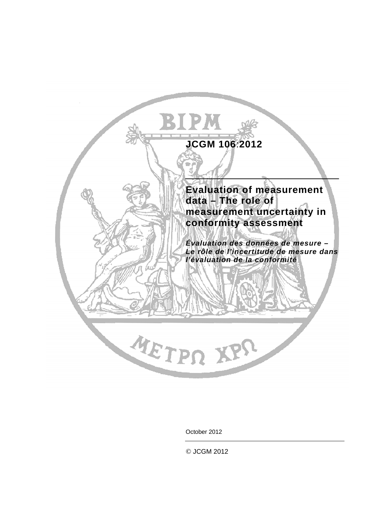

October 2012

© JCGM 2012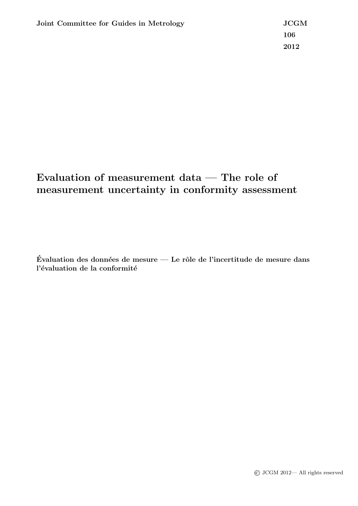106 2012

# Evaluation of measurement data — The role of measurement uncertainty in conformity assessment

Évaluation des données de mesure — Le rôle de l'incertitude de mesure dans l'évaluation de la conformité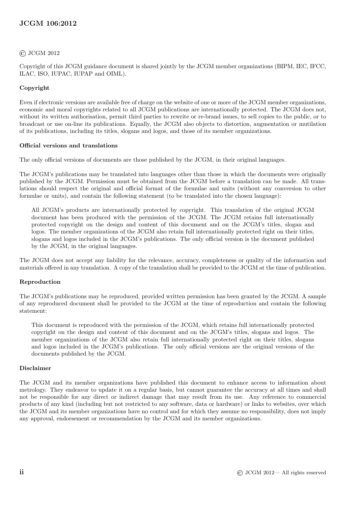### © JCGM 2012

Copyright of this JCGM guidance document is shared jointly by the JCGM member organizations (BIPM, IEC, IFCC, ILAC, ISO, IUPAC, IUPAP and OIML).

### Copyright

Even if electronic versions are available free of charge on the website of one or more of the JCGM member organizations, economic and moral copyrights related to all JCGM publications are internationally protected. The JCGM does not, without its written authorisation, permit third parties to rewrite or re-brand issues, to sell copies to the public, or to broadcast or use on-line its publications. Equally, the JCGM also objects to distortion, augmentation or mutilation of its publications, including its titles, slogans and logos, and those of its member organizations.

### Official versions and translations

The only official versions of documents are those published by the JCGM, in their original languages.

The JCGM's publications may be translated into languages other than those in which the documents were originally published by the JCGM. Permission must be obtained from the JCGM before a translation can be made. All translations should respect the original and official format of the formulae and units (without any conversion to other formulae or units), and contain the following statement (to be translated into the chosen language):

All JCGM's products are internationally protected by copyright. This translation of the original JCGM document has been produced with the permission of the JCGM. The JCGM retains full internationally protected copyright on the design and content of this document and on the JCGM's titles, slogan and logos. The member organizations of the JCGM also retain full internationally protected right on their titles, slogans and logos included in the JCGM's publications. The only official version is the document published by the JCGM, in the original languages.

The JCGM does not accept any liability for the relevance, accuracy, completeness or quality of the information and materials offered in any translation. A copy of the translation shall be provided to the JCGM at the time of publication.

### Reproduction

The JCGM's publications may be reproduced, provided written permission has been granted by the JCGM. A sample of any reproduced document shall be provided to the JCGM at the time of reproduction and contain the following statement:

This document is reproduced with the permission of the JCGM, which retains full internationally protected copyright on the design and content of this document and on the JCGM's titles, slogans and logos. The member organizations of the JCGM also retain full internationally protected right on their titles, slogans and logos included in the JCGM's publications. The only official versions are the original versions of the documents published by the JCGM.

#### Disclaimer

The JCGM and its member organizations have published this document to enhance access to information about metrology. They endeavor to update it on a regular basis, but cannot guarantee the accuracy at all times and shall not be responsible for any direct or indirect damage that may result from its use. Any reference to commercial products of any kind (including but not restricted to any software, data or hardware) or links to websites, over which the JCGM and its member organizations have no control and for which they assume no responsibility, does not imply any approval, endorsement or recommendation by the JCGM and its member organizations.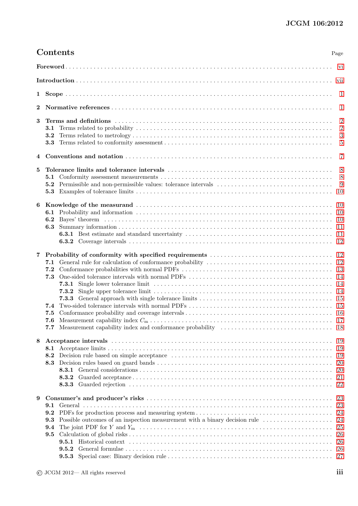| Contents | Page |
|----------|------|
|          |      |

| $\mathbf{1}$   |                                                                                                                   | -1                                                      |
|----------------|-------------------------------------------------------------------------------------------------------------------|---------------------------------------------------------|
| $\bf{2}$       |                                                                                                                   | $\mathbf{1}$                                            |
| 3              | $\bf{3.1}$<br>3.2<br>3.3                                                                                          | $\overline{2}$<br>$\overline{2}$<br>3<br>$\overline{5}$ |
| 4              |                                                                                                                   | $\overline{7}$                                          |
| 5              | 5.1<br>5.2                                                                                                        | 8<br>8<br>9                                             |
| 6              | 6.3                                                                                                               |                                                         |
| $\overline{7}$ | 7.2<br>7.3<br>7.4<br>7.5<br>7.6                                                                                   |                                                         |
| 8              | 8.1<br>8.2<br>8.3                                                                                                 | -19<br>19<br>19<br><b>20</b><br><b>20</b><br>21<br>22   |
| 9              | 9.1<br>9.2<br>Possible outcomes of an inspection measurement with a binary decision rule<br>9.3<br>$9.4\,$<br>9.5 | 23<br>23<br>24<br>24<br>25<br>26<br>26<br>26<br>27      |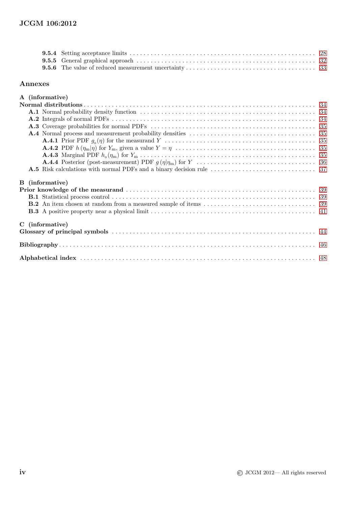### Annexes

| C (informative) | A (informative) |  |
|-----------------|-----------------|--|
|                 |                 |  |
|                 |                 |  |
|                 |                 |  |
|                 |                 |  |
|                 |                 |  |
|                 |                 |  |
|                 |                 |  |
|                 |                 |  |
|                 |                 |  |
|                 |                 |  |
|                 | B (informative) |  |
|                 |                 |  |
|                 |                 |  |
|                 |                 |  |
|                 |                 |  |
|                 |                 |  |
|                 |                 |  |
|                 |                 |  |
|                 |                 |  |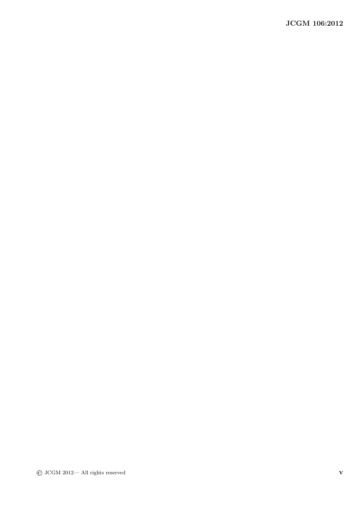# JCGM 106:2012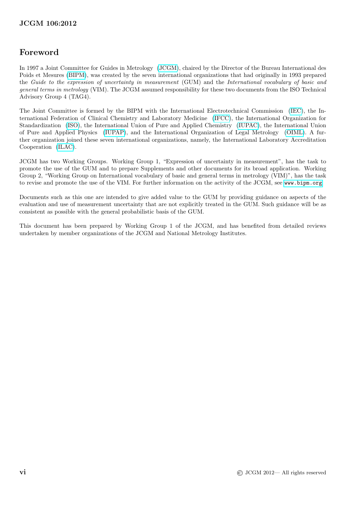# <span id="page-6-0"></span>Foreword

In 1997 a Joint Committee for Guides in Metrology [\(JCGM\)](http://www.bipm.org/en/committees/jc/jcgm/), chaired by the Director of the Bureau International des Poids et Mesures [\(BIPM\)](http://www.bipm.org/), was created by the seven international organizations that had originally in 1993 prepared the Guide to the expression of uncertainty in measurement (GUM) and the International vocabulary of basic and general terms in metrology (VIM). The JCGM assumed responsibility for these two documents from the ISO Technical Advisory Group 4 (TAG4).

The Joint Committee is formed by the BIPM with the International Electrotechnical Commission [\(IEC\)](http://www.iec.ch/), the International Federation of Clinical Chemistry and Laboratory Medicine [\(IFCC\)](http://www.ifcc.org/), the International Organization for Standardization [\(ISO\)](http://www.iso.org/), the International Union of Pure and Applied Chemistry [\(IUPAC\)](http://www.iupac.org/), the International Union of Pure and Applied Physics [\(IUPAP\)](http://www.iupap.org/), and the International Organization of Legal Metrology [\(OIML\)](http://www.oiml.org/). A further organization joined these seven international organizations, namely, the International Laboratory Accreditation Cooperation [\(ILAC\)](http://www.ilac.org/).

JCGM has two Working Groups. Working Group 1, "Expression of uncertainty in measurement", has the task to promote the use of the GUM and to prepare Supplements and other documents for its broad application. Working Group 2, "Working Group on International vocabulary of basic and general terms in metrology (VIM)", has the task to revise and promote the use of the VIM. For further information on the activity of the JCGM, see <www.bipm.org>

Documents such as this one are intended to give added value to the GUM by providing guidance on aspects of the evaluation and use of measurement uncertainty that are not explicitly treated in the GUM. Such guidance will be as consistent as possible with the general probabilistic basis of the GUM.

This document has been prepared by Working Group 1 of the JCGM, and has benefited from detailed reviews undertaken by member organizations of the JCGM and National Metrology Institutes.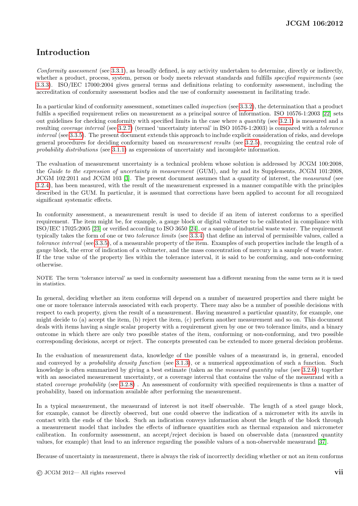# <span id="page-7-0"></span>Introduction

Conformity assessment (see [3.3.1\)](#page-13-1), as broadly defined, is any activity undertaken to determine, directly or indirectly, whether a product, process, system, person or body meets relevant standards and fulfills specified requirements (see [3.3.3\)](#page-13-2). ISO/IEC 17000:2004 gives general terms and definitions relating to conformity assessment, including the accreditation of conformity assessment bodies and the use of conformity assessment in facilitating trade.

In a particular kind of conformity assessment, sometimes called *inspection* (see [3.3.2\)](#page-13-3), the determination that a product fulfils a specified requirement relies on measurement as a principal source of information. ISO 10576-1:2003 [\[22\]](#page-54-1) sets out guidelines for checking conformity with specified limits in the case where a quantity (see [3.2.1\)](#page-11-1) is measured and a resulting *coverage interval* (see [3.2.7\)](#page-12-0) (termed 'uncertainty interval' in ISO 10576-1:2003) is compared with a tolerance interval (see [3.3.5\)](#page-13-4). The present document extends this approach to include explicit consideration of risks, and develops general procedures for deciding conformity based on measurement results (see [3.2.5\)](#page-12-1), recognizing the central role of probability distributions (see [3.1.1\)](#page-10-2) as expressions of uncertainty and incomplete information.

The evaluation of measurement uncertainty is a technical problem whose solution is addressed by JCGM 100:2008, the Guide to the expression of uncertainty in measurement (GUM), and by and its Supplements, JCGM 101:2008, JCGM 102:2011 and JCGM 103 [\[3\]](#page-54-2). The present document assumes that a quantity of interest, the measurand (see [3.2.4\)](#page-12-2), has been measured, with the result of the measurement expressed in a manner compatible with the principles described in the GUM. In particular, it is assumed that corrections have been applied to account for all recognized significant systematic effects.

In conformity assessment, a measurement result is used to decide if an item of interest conforms to a specified requirement. The item might be, for example, a gauge block or digital voltmeter to be calibrated in compliance with ISO/IEC 17025:2005 [\[23\]](#page-54-3) or verified according to ISO 3650 [\[24\]](#page-55-0), or a sample of industrial waste water. The requirement typically takes the form of one or two tolerance limits (see [3.3.4\)](#page-13-5) that define an interval of permissible values, called a tolerance interval (see [3.3.5\)](#page-13-4), of a measurable property of the item. Examples of such properties include the length of a gauge block, the error of indication of a voltmeter, and the mass concentration of mercury in a sample of waste water. If the true value of the property lies within the tolerance interval, it is said to be conforming, and non-conforming otherwise.

NOTE The term 'tolerance interval' as used in conformity assessment has a different meaning from the same term as it is used in statistics.

In general, deciding whether an item conforms will depend on a number of measured properties and there might be one or more tolerance intervals associated with each property. There may also be a number of possible decisions with respect to each property, given the result of a measurement. Having measured a particular quantity, for example, one might decide to (a) accept the item, (b) reject the item, (c) perform another measurement and so on. This document deals with items having a single scalar property with a requirement given by one or two tolerance limits, and a binary outcome in which there are only two possible states of the item, conforming or non-conforming, and two possible corresponding decisions, accept or reject. The concepts presented can be extended to more general decision problems.

In the evaluation of measurement data, knowledge of the possible values of a measurand is, in general, encoded and conveyed by a *probability density function* (see [3.1.3\)](#page-10-3), or a numerical approximation of such a function. Such knowledge is often summarized by giving a best estimate (taken as the measured quantity value (see [3.2.6\)](#page-12-3)) together with an associated measurement uncertainty, or a coverage interval that contains the value of the measurand with a stated coverage probability (see [3.2.8\)](#page-12-4) . An assessment of conformity with specified requirements is thus a matter of probability, based on information available after performing the measurement.

In a typical measurement, the measurand of interest is not itself observable. The length of a steel gauge block, for example, cannot be directly observed, but one could observe the indication of a micrometer with its anvils in contact with the ends of the block. Such an indication conveys information about the length of the block through a measurement model that includes the effects of influence quantities such as thermal expansion and micrometer calibration. In conformity assessment, an accept/reject decision is based on observable data (measured quantity values, for example) that lead to an inference regarding the possible values of a non-observable measurand [\[37\]](#page-55-1).

Because of uncertainty in measurement, there is always the risk of incorrectly deciding whether or not an item conforms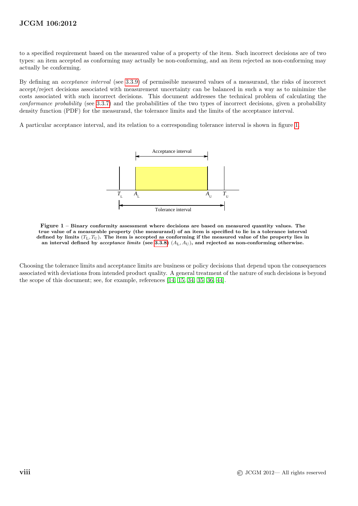to a specified requirement based on the measured value of a property of the item. Such incorrect decisions are of two types: an item accepted as conforming may actually be non-conforming, and an item rejected as non-conforming may actually be conforming.

By defining an acceptance interval (see [3.3.9\)](#page-14-0) of permissible measured values of a measurand, the risks of incorrect accept/reject decisions associated with measurement uncertainty can be balanced in such a way as to minimize the costs associated with such incorrect decisions. This document addresses the technical problem of calculating the conformance probability (see [3.3.7\)](#page-14-1) and the probabilities of the two types of incorrect decisions, given a probability density function (PDF) for the measurand, the tolerance limits and the limits of the acceptance interval.

<span id="page-8-0"></span>A particular acceptance interval, and its relation to a corresponding tolerance interval is shown in figure [1.](#page-8-0)



Figure 1 – Binary conformity assessment where decisions are based on measured quantity values. The true value of a measurable property (the measurand) of an item is specified to lie in a tolerance interval defined by limits  $(T_L, T_U)$ . The item is accepted as conforming if the measured value of the property lies in an interval defined by acceptance limits (see [3.3.8\)](#page-14-2)  $(A_L, A_U)$ , and rejected as non-conforming otherwise.

Choosing the tolerance limits and acceptance limits are business or policy decisions that depend upon the consequences associated with deviations from intended product quality. A general treatment of the nature of such decisions is beyond the scope of this document; see, for example, references [\[14,](#page-54-4) [15,](#page-54-5) [34,](#page-55-2) [35,](#page-55-3) [36,](#page-55-4) [44\]](#page-55-5).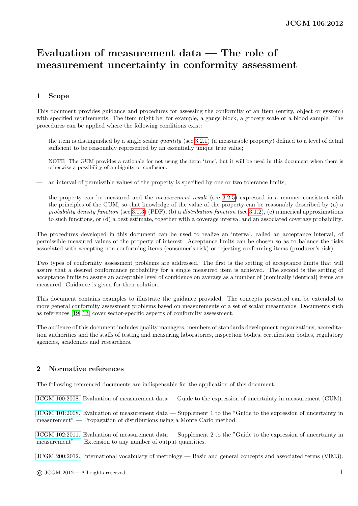# Evaluation of measurement data — The role of measurement uncertainty in conformity assessment

### <span id="page-9-0"></span>1 Scope

This document provides guidance and procedures for assessing the conformity of an item (entity, object or system) with specified requirements. The item might be, for example, a gauge block, a grocery scale or a blood sample. The procedures can be applied where the following conditions exist:

the item is distinguished by a single scalar quantity (see  $3.2.1$ ) (a measurable property) defined to a level of detail sufficient to be reasonably represented by an essentially unique true value;

NOTE The GUM provides a rationale for not using the term 'true', but it will be used in this document when there is otherwise a possibility of ambiguity or confusion.

- an interval of permissible values of the property is specified by one or two tolerance limits;
- the property can be measured and the *measurement result* (see [3.2.5\)](#page-12-1) expressed in a manner consistent with the principles of the GUM, so that knowledge of the value of the property can be reasonably described by (a) a probability density function (see [3.1.3\)](#page-10-3) (PDF), (b) a distribution function (see [3.1.2\)](#page-10-4), (c) numerical approximations to such functions, or (d) a best estimate, together with a coverage interval and an associated coverage probability.

The procedures developed in this document can be used to realize an interval, called an acceptance interval, of permissible measured values of the property of interest. Acceptance limits can be chosen so as to balance the risks associated with accepting non-conforming items (consumer's risk) or rejecting conforming items (producer's risk).

Two types of conformity assessment problems are addressed. The first is the setting of acceptance limits that will assure that a desired conformance probability for a single measured item is achieved. The second is the setting of acceptance limits to assure an acceptable level of confidence on average as a number of (nominally identical) items are measured. Guidance is given for their solution.

This document contains examples to illustrate the guidance provided. The concepts presented can be extended to more general conformity assessment problems based on measurements of a set of scalar measurands. Documents such as references [\[19,](#page-54-6) [13\]](#page-54-7) cover sector-specific aspects of conformity assessment.

The audience of this document includes quality managers, members of standards development organizations, accreditation authorities and the staffs of testing and measuring laboratories, inspection bodies, certification bodies, regulatory agencies, academics and researchers.

### <span id="page-9-1"></span>2 Normative references

The following referenced documents are indispensable for the application of this document.

[JCGM 100:2008.](http://www.bipm.org/utils/common/documents/jcgm/JCGM_100_2008_E.pdf) Evaluation of measurement data — Guide to the expression of uncertainty in measurement (GUM).

[JCGM 101:2008.](http://www.bipm.org/utils/common/documents/jcgm/JCGM_101_2008_E.pdf) Evaluation of measurement data — Supplement 1 to the "Guide to the expression of uncertainty in measurement" — Propagation of distributions using a Monte Carlo method.

[JCGM 102:2011.](http://www.bipm.org/utils/common/documents/jcgm/JCGM_102_2011_E.pdf) Evaluation of measurement data — Supplement 2 to the "Guide to the expression of uncertainty in measurement" — Extension to any number of output quantities.

[JCGM 200:2012.](http://www.bipm.org/utils/common/documents/jcgm/JCGM_200_2012.pdf) International vocabulary of metrology — Basic and general concepts and associated terms (VIM3).

 $\odot$  JCGM 2012— All rights reserved 1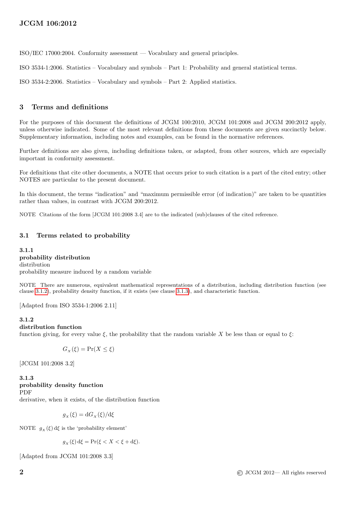ISO/IEC 17000:2004. Conformity assessment — Vocabulary and general principles.

ISO 3534-1:2006. Statistics – Vocabulary and symbols – Part 1: Probability and general statistical terms.

ISO 3534-2:2006. Statistics – Vocabulary and symbols – Part 2: Applied statistics.

### <span id="page-10-0"></span>3 Terms and definitions

For the purposes of this document the definitions of JCGM 100:2010, JCGM 101:2008 and JCGM 200:2012 apply, unless otherwise indicated. Some of the most relevant definitions from these documents are given succinctly below. Supplementary information, including notes and examples, can be found in the normative references.

Further definitions are also given, including definitions taken, or adapted, from other sources, which are especially important in conformity assessment.

For definitions that cite other documents, a NOTE that occurs prior to such citation is a part of the cited entry; other NOTES are particular to the present document.

In this document, the terms "indication" and "maximum permissible error (of indication)" are taken to be quantities rather than values, in contrast with JCGM 200:2012.

NOTE Citations of the form [JCGM 101:2008 3.4] are to the indicated (sub)clauses of the cited reference.

## <span id="page-10-2"></span><span id="page-10-1"></span>3.1 Terms related to probability

3.1.1 probability distribution distribution probability measure induced by a random variable

NOTE There are numerous, equivalent mathematical representations of a distribution, including distribution function (see clause [3.1.2\)](#page-10-4), probability density function, if it exists (see clause [3.1.3\)](#page-10-3), and characteristic function.

<span id="page-10-4"></span>[Adapted from ISO 3534-1:2006 2.11]

### 3.1.2

### distribution function

function giving, for every value  $\xi$ , the probability that the random variable X be less than or equal to  $\xi$ :

 $G_{\mathbf{y}}(\xi) = \Pr(X \leq \xi)$ 

<span id="page-10-3"></span>[JCGM 101:2008 3.2]

3.1.3 probability density function PDF derivative, when it exists, of the distribution function

 $g_{x}(\xi) = dG_{x}(\xi)/d\xi$ 

NOTE  $g_X(\xi) d\xi$  is the 'probability element'

$$
g_X(\xi) \,d\xi = \Pr(\xi < X < \xi + d\xi).
$$

[Adapted from JCGM 101:2008 3.3]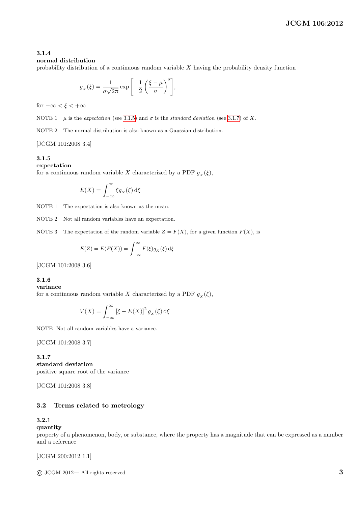# <span id="page-11-5"></span>3.1.4

### normal distribution

probability distribution of a continuous random variable  $X$  having the probability density function

$$
g_X(\xi) = \frac{1}{\sigma\sqrt{2\pi}} \exp\left[-\frac{1}{2}\left(\frac{\xi-\mu}{\sigma}\right)^2\right],
$$

for  $-\infty < \xi < +\infty$ 

NOTE 1  $\mu$  is the expectation (see [3.1.5\)](#page-11-2) and  $\sigma$  is the standard deviation (see [3.1.7\)](#page-11-3) of X.

NOTE 2 The normal distribution is also known as a Gaussian distribution.

<span id="page-11-2"></span>[JCGM 101:2008 3.4]

3.1.5

expectation

for a continuous random variable X characterized by a PDF  $g_X(\xi)$ ,

$$
E(X)=\int_{-\infty}^{\infty}\xi g_{\scriptscriptstyle X}(\xi)\,{\rm d}\xi
$$

NOTE 1 The expectation is also known as the mean.

NOTE 2 Not all random variables have an expectation.

NOTE 3 The expectation of the random variable  $Z = F(X)$ , for a given function  $F(X)$ , is

$$
E(Z) = E(F(X)) = \int_{-\infty}^{\infty} F(\xi) g_X(\xi) d\xi
$$

<span id="page-11-4"></span>[JCGM 101:2008 3.6]

3.1.6

### variance

for a continuous random variable X characterized by a PDF  $g_x(\xi)$ ,

$$
V(X) = \int_{-\infty}^{\infty} \left[ \xi - E(X) \right]^2 g_X(\xi) \, \mathrm{d}\xi
$$

NOTE Not all random variables have a variance.

<span id="page-11-3"></span>[JCGM 101:2008 3.7]

3.1.7

standard deviation positive square root of the variance

[JCGM 101:2008 3.8]

### <span id="page-11-1"></span><span id="page-11-0"></span>3.2 Terms related to metrology

### 3.2.1

quantity

property of a phenomenon, body, or substance, where the property has a magnitude that can be expressed as a number and a reference

[JCGM 200:2012 1.1]

 $\odot$  JCGM 2012— All rights reserved  $3$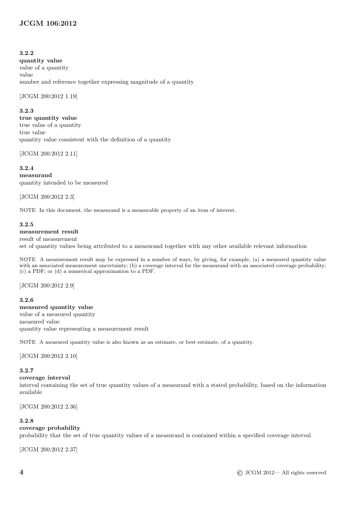# JCGM 106:2012

### 3.2.2

quantity value value of a quantity value number and reference together expressing magnitude of a quantity

[JCGM 200:2012 1.19]

### 3.2.3

true quantity value true value of a quantity true value quantity value consistent with the definition of a quantity

<span id="page-12-2"></span>[JCGM 200:2012 2.11]

3.2.4 measurand quantity intended to be measured

[JCGM 200:2012 2.3]

<span id="page-12-1"></span>NOTE In this document, the measurand is a measurable property of an item of interest.

### 3.2.5

### measurement result

result of measurement set of quantity values being attributed to a measurand together with any other available relevant information

NOTE A measurement result may be expressed in a number of ways, by giving, for example, (a) a measured quantity value with an associated measurement uncertainty; (b) a coverage interval for the measurand with an associated coverage probability; (c) a PDF; or (d) a numerical approximation to a PDF.

<span id="page-12-3"></span>[JCGM 200:2012 2.9]

### 3.2.6

measured quantity value

value of a measured quantity measured value quantity value representing a measurement result

NOTE A measured quantity value is also known as an estimate, or best estimate, of a quantity.

<span id="page-12-0"></span>[JCGM 200:2012 2.10]

### 3.2.7

### coverage interval

interval containing the set of true quantity values of a measurand with a stated probability, based on the information available

<span id="page-12-4"></span>[JCGM 200:2012 2.36]

### 3.2.8

### coverage probability

probability that the set of true quantity values of a measurand is contained within a specified coverage interval

[JCGM 200:2012 2.37]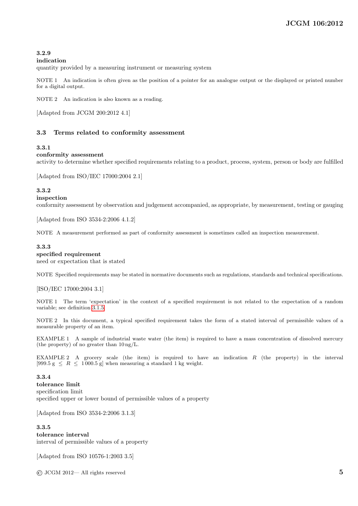3.2.9

#### indication

quantity provided by a measuring instrument or measuring system

NOTE 1 An indication is often given as the position of a pointer for an analogue output or the displayed or printed number for a digital output.

NOTE 2 An indication is also known as a reading.

[Adapted from JCGM 200:2012 4.1]

#### <span id="page-13-1"></span><span id="page-13-0"></span>3.3 Terms related to conformity assessment

### 3.3.1

#### conformity assessment

activity to determine whether specified requirements relating to a product, process, system, person or body are fulfilled

<span id="page-13-3"></span>[Adapted from ISO/IEC 17000:2004 2.1]

#### 3.3.2

inspection

conformity assessment by observation and judgement accompanied, as appropriate, by measurement, testing or gauging

[Adapted from ISO 3534-2:2006 4.1.2]

<span id="page-13-2"></span>NOTE A measurement performed as part of conformity assessment is sometimes called an inspection measurement.

### 3.3.3

### specified requirement

need or expectation that is stated

NOTE Specified requirements may be stated in normative documents such as regulations, standards and technical specifications.

[ISO/IEC 17000:2004 3.1]

NOTE 1 The term 'expectation' in the context of a specified requirement is not related to the expectation of a random variable; see definition [3.1.5.](#page-11-2)

NOTE 2 In this document, a typical specified requirement takes the form of a stated interval of permissible values of a measurable property of an item.

EXAMPLE 1 A sample of industrial waste water (the item) is required to have a mass concentration of dissolved mercury (the property) of no greater than 10 ng/L.

EXAMPLE 2 A grocery scale (the item) is required to have an indication R (the property) in the interval [999.5 g  $\leq R \leq 1000.5$  g] when measuring a standard 1 kg weight.

#### <span id="page-13-5"></span>3.3.4

tolerance limit specification limit specified upper or lower bound of permissible values of a property

<span id="page-13-4"></span>[Adapted from ISO 3534-2:2006 3.1.3]

#### 3.3.5

tolerance interval interval of permissible values of a property

[Adapted from ISO 10576-1:2003 3.5]

 $\odot$  JCGM 2012— All rights reserved  $5$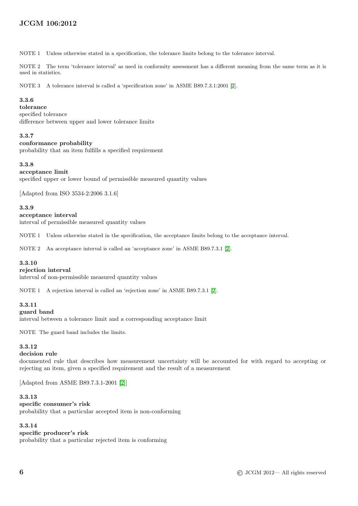NOTE 1 Unless otherwise stated in a specification, the tolerance limits belong to the tolerance interval.

NOTE 2 The term 'tolerance interval' as used in conformity assessment has a different meaning from the same term as it is used in statistics.

NOTE 3 A tolerance interval is called a 'specification zone' in ASME B89.7.3.1:2001 [\[2\]](#page-54-8).

### 3.3.6

#### tolerance

specified tolerance difference between upper and lower tolerance limits

#### <span id="page-14-1"></span>3.3.7

#### conformance probability

<span id="page-14-2"></span>probability that an item fulfills a specified requirement

### 3.3.8

#### acceptance limit

specified upper or lower bound of permissible measured quantity values

<span id="page-14-0"></span>[Adapted from ISO 3534-2:2006 3.1.6]

#### 3.3.9

#### acceptance interval

interval of permissible measured quantity values

NOTE 1 Unless otherwise stated in the specification, the acceptance limits belong to the acceptance interval.

NOTE 2 An acceptance interval is called an 'acceptance zone' in ASME B89.7.3.1 [\[2\]](#page-54-8).

#### 3.3.10

#### rejection interval

interval of non-permissible measured quantity values

<span id="page-14-4"></span>NOTE 1 A rejection interval is called an 'rejection zone' in ASME B89.7.3.1 [\[2\]](#page-54-8).

#### 3.3.11

#### guard band

interval between a tolerance limit and a corresponding acceptance limit

<span id="page-14-3"></span>NOTE The guard band includes the limits.

#### 3.3.12

#### decision rule

documented rule that describes how measurement uncertainty will be accounted for with regard to accepting or rejecting an item, given a specified requirement and the result of a measurement

<span id="page-14-5"></span>[Adapted from ASME B89.7.3.1-2001 [\[2\]](#page-54-8)]

#### 3.3.13

#### specific consumer's risk

<span id="page-14-6"></span>probability that a particular accepted item is non-conforming

### 3.3.14

# specific producer's risk

probability that a particular rejected item is conforming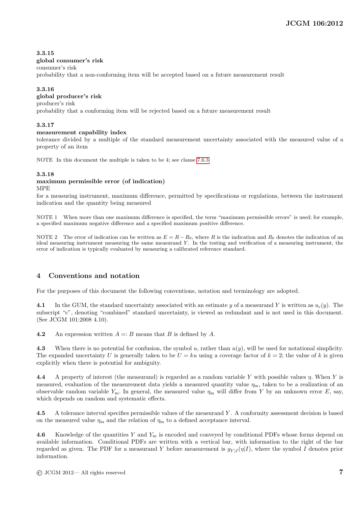### <span id="page-15-4"></span>3.3.15

### global consumer's risk

consumer's risk

<span id="page-15-5"></span>probability that a non-conforming item will be accepted based on a future measurement result

### 3.3.16

### global producer's risk

### producer's risk

<span id="page-15-2"></span>probability that a conforming item will be rejected based on a future measurement result

### 3.3.17

### measurement capability index

tolerance divided by a multiple of the standard measurement uncertainty associated with the measured value of a property of an item

<span id="page-15-3"></span>NOTE In this document the multiple is taken to be 4; see clause [7.6.3](#page-25-1)

### 3.3.18

#### maximum permissible error (of indication) MPE

for a measuring instrument, maximum difference, permitted by specifications or regulations, between the instrument indication and the quantity being measured

NOTE 1 When more than one maximum difference is specified, the term "maximum permissible errors" is used; for example, a specified maximum negative difference and a specified maximum positive difference.

NOTE 2 The error of indication can be written as  $E = R - R_0$ , where R is the indication and  $R_0$  denotes the indication of an ideal measuring instrument measuring the same measurand Y. In the testing and verification of a measuring instrument, the error of indication is typically evaluated by measuring a calibrated reference standard.

# <span id="page-15-0"></span>4 Conventions and notation

For the purposes of this document the following conventions, notation and terminology are adopted.

4.1 In the GUM, the standard uncertainty associated with an estimate y of a measurand Y is written as  $u_c(y)$ . The subscript "c", denoting "combined" standard uncertainty, is viewed as redundant and is not used in this document. (See JCGM 101:2008 4.10).

4.2 An expression written  $A =: B$  means that B is defined by A.

4.3 When there is no potential for confusion, the symbol u, rather than  $u(y)$ , will be used for notational simplicity. The expanded uncertainty U is generally taken to be  $U = ku$  using a coverage factor of  $k = 2$ ; the value of k is given explicitly when there is potential for ambiguity.

<span id="page-15-1"></span>4.4 A property of interest (the measurand) is regarded as a random variable Y with possible values  $\eta$ . When Y is measured, evaluation of the measurement data yields a measured quantity value  $\eta_m$ , taken to be a realization of an observable random variable  $Y_m$ . In general, the measured value  $\eta_m$  will differ from Y by an unknown error E, say, which depends on random and systematic effects.

4.5 A tolerance interval specifies permissible values of the measurand Y . A conformity assessment decision is based on the measured value  $\eta_m$  and the relation of  $\eta_m$  to a defined acceptance interval.

4.6 Knowledge of the quantities Y and  $Y_m$  is encoded and conveyed by conditional PDFs whose forms depend on available information. Conditional PDFs are written with a vertical bar, with information to the right of the bar regarded as given. The PDF for a measurand Y before measurement is  $g_{Y|I}(\eta|I)$ , where the symbol I denotes prior information.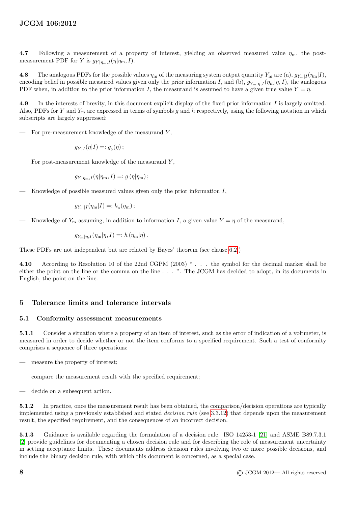4.7 Following a measurement of a property of interest, yielding an observed measured value  $\eta_m$ , the postmeasurement PDF for Y is  $g_{Y|\eta_m,I}(\eta|\eta_m,I)$ .

4.8 The analogous PDFs for the possible values  $\eta_m$  of the measuring system output quantity  $Y_m$  are (a),  $g_{Y_m|I}(\eta_m|I)$ , encoding belief in possible measured values given only the prior information I, and (b),  $g_{Y_m|\eta,I}(\eta_m|\eta,I)$ , the analogous PDF when, in addition to the prior information I, the measurand is assumed to have a given true value  $Y = \eta$ .

<span id="page-16-2"></span>4.9 In the interests of brevity, in this document explicit display of the fixed prior information I is largely omitted. Also, PDFs for Y and  $Y_m$  are expressed in terms of symbols g and h respectively, using the following notation in which subscripts are largely suppressed:

For pre-measurement knowledge of the measurand  $Y$ ,

$$
g_{Y|I}(\eta|I)=:g_{0}(\eta);
$$

For post-measurement knowledge of the measurand  $Y$ ,

 $g_{Y|_{\eta_m,I}}(\eta|\eta_m,I)=:g(\eta|\eta_m);$ 

Knowledge of possible measured values given only the prior information  $I$ ,

$$
g_{Y_{\mathbf{m}}|I}(\eta_{\mathbf{m}}|I)=:h_{\mathbf{0}}(\eta_{\mathbf{m}});
$$

Knowledge of  $Y_m$  assuming, in addition to information I, a given value  $Y = \eta$  of the measurand,

$$
g_{Y_m|\eta,I}(\eta_m|\eta,I)=:h(\eta_m|\eta).
$$

These PDFs are not independent but are related by Bayes' theorem (see clause [6.2.](#page-18-3))

4.10 According to Resolution 10 of the 22nd CGPM (2003) " . . . the symbol for the decimal marker shall be either the point on the line or the comma on the line . . . ". The JCGM has decided to adopt, in its documents in English, the point on the line.

### <span id="page-16-1"></span><span id="page-16-0"></span>5 Tolerance limits and tolerance intervals

### 5.1 Conformity assessment measurements

5.1.1 Consider a situation where a property of an item of interest, such as the error of indication of a voltmeter, is measured in order to decide whether or not the item conforms to a specified requirement. Such a test of conformity comprises a sequence of three operations:

- measure the property of interest;
- compare the measurement result with the specified requirement;
- decide on a subsequent action.

5.1.2 In practice, once the measurement result has been obtained, the comparison/decision operations are typically implemented using a previously established and stated decision rule (see [3.3.12\)](#page-14-3) that depends upon the measurement result, the specified requirement, and the consequences of an incorrect decision.

5.1.3 Guidance is available regarding the formulation of a decision rule. ISO 14253-1 [\[21\]](#page-54-9) and ASME B89.7.3.1 [\[2\]](#page-54-8) provide guidelines for documenting a chosen decision rule and for describing the role of measurement uncertainty in setting acceptance limits. These documents address decision rules involving two or more possible decisions, and include the binary decision rule, with which this document is concerned, as a special case.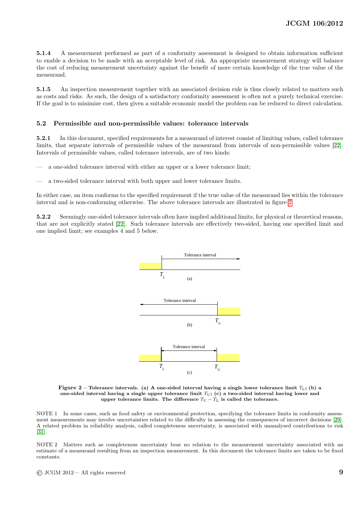5.1.4 A measurement performed as part of a conformity assessment is designed to obtain information sufficient to enable a decision to be made with an acceptable level of risk. An appropriate measurement strategy will balance the cost of reducing measurement uncertainty against the benefit of more certain knowledge of the true value of the measurand.

5.1.5 An inspection measurement together with an associated decision rule is thus closely related to matters such as costs and risks. As such, the design of a satisfactory conformity assessment is often not a purely technical exercise. If the goal is to minimize cost, then given a suitable economic model the problem can be reduced to direct calculation.

### <span id="page-17-0"></span>5.2 Permissible and non-permissible values: tolerance intervals

5.2.1 In this document, specified requirements for a measurand of interest consist of limiting values, called tolerance limits, that separate intervals of permissible values of the measurand from intervals of non-permissible values [\[22\]](#page-54-1). Intervals of permissible values, called tolerance intervals, are of two kinds:

— a one-sided tolerance interval with either an upper or a lower tolerance limit;

— a two-sided tolerance interval with both upper and lower tolerance limits.

In either case, an item conforms to the specified requirement if the true value of the measurand lies within the tolerance interval and is non-conforming otherwise. The above tolerance intervals are illustrated in figure [2.](#page-17-1)

<span id="page-17-1"></span>5.2.2 Seemingly one-sided tolerance intervals often have implied additional limits, for physical or theoretical reasons, that are not explicitly stated [\[22\]](#page-54-1). Such tolerance intervals are effectively two-sided, having one specified limit and one implied limit; see examples 4 and 5 below.



Figure 2 – Tolerance intervals. (a) A one-sided interval having a single lower tolerance limit  $T_{\rm L}$ ; (b) a one-sided interval having a single upper tolerance limit  $T_U$ ; (c) a two-sided interval having lower and upper tolerance limits. The difference  $T_U - T_L$  is called the tolerance.

NOTE 1 In some cases, such as food safety or environmental protection, specifying the tolerance limits in conformity assessment measurements may involve uncertainties related to the difficulty in assessing the consequences of incorrect decisions [\[29\]](#page-55-6). A related problem in reliability analysis, called completeness uncertainty, is associated with unanalysed contributions to risk [\[31\]](#page-55-7).

NOTE 2 Matters such as completeness uncertainty bear no relation to the measurement uncertainty associated with an estimate of a measurand resulting from an inspection measurement. In this document the tolerance limits are taken to be fixed constants.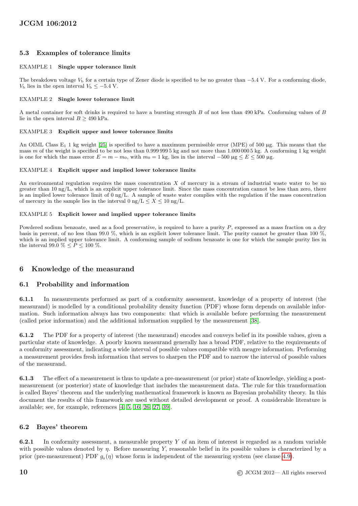### <span id="page-18-0"></span>5.3 Examples of tolerance limits

#### EXAMPLE 1 Single upper tolerance limit

The breakdown voltage  $V<sub>b</sub>$  for a certain type of Zener diode is specified to be no greater than  $-5.4$  V. For a conforming diode,  $V<sub>b</sub>$  lies in the open interval  $V<sub>b</sub> \le -5.4$  V.

#### EXAMPLE 2 Single lower tolerance limit

A metal container for soft drinks is required to have a bursting strength B of not less than 490 kPa. Conforming values of B lie in the open interval  $B \geq 490$  kPa.

#### EXAMPLE 3 Explicit upper and lower tolerance limits

An OIML Class  $E_1$  1 kg weight [\[25\]](#page-55-8) is specified to have a maximum permissible error (MPE) of 500 µg. This means that the mass m of the weight is specified to be not less than 0.999 999 5 kg and not more than 1.000 000 5 kg. A conforming 1 kg weight is one for which the mass error  $E = m - m_0$ , with  $m_0 = 1$  kg, lies in the interval  $-500 \mu$ g  $\le E \le 500 \mu$ g.

#### EXAMPLE 4 Explicit upper and implied lower tolerance limits

An environmental regulation requires the mass concentration  $X$  of mercury in a stream of industrial waste water to be no greater than 10 ng/ $\overline{L}$ , which is an explicit upper tolerance limit. Since the mass concentration cannot be less than zero, there is an implied lower tolerance limit of  $0 \nvert p/L$ . A sample of waste water complies with the regulation if the mass concentration of mercury in the sample lies in the interval  $0 \text{ ng/L} < X < 10 \text{ ng/L}$ .

#### EXAMPLE 5 Explicit lower and implied upper tolerance limits

Powdered sodium benzoate, used as a food preservative, is required to have a purity  $P$ , expressed as a mass fraction on a dry basis in percent, of no less than 99.0 %, which is an explicit lower tolerance limit. The purity cannot be greater than 100 %, which is an implied upper tolerance limit. A conforming sample of sodium benzoate is one for which the sample purity lies in the interval 99.0 %  $\leq P \leq 100$  %.

## <span id="page-18-2"></span><span id="page-18-1"></span>6 Knowledge of the measurand

### 6.1 Probability and information

6.1.1 In measurements performed as part of a conformity assessment, knowledge of a property of interest (the measurand) is modelled by a conditional probability density function (PDF) whose form depends on available information. Such information always has two components: that which is available before performing the measurement (called prior information) and the additional information supplied by the measurement [\[38\]](#page-55-9).

6.1.2 The PDF for a property of interest (the measurand) encodes and conveys belief in its possible values, given a particular state of knowledge. A poorly known measurand generally has a broad PDF, relative to the requirements of a conformity assessment, indicating a wide interval of possible values compatible with meagre information. Performing a measurement provides fresh information that serves to sharpen the PDF and to narrow the interval of possible values of the measurand.

6.1.3 The effect of a measurement is thus to update a pre-measurement (or prior) state of knowledge, yielding a postmeasurement (or posterior) state of knowledge that includes the measurement data. The rule for this transformation is called Bayes' theorem and the underlying mathematical framework is known as Bayesian probability theory. In this document the results of this framework are used without detailed development or proof. A considerable literature is available; see, for example, references [\[4,](#page-54-10) [5,](#page-54-11) [16,](#page-54-12) [26,](#page-55-10) [27,](#page-55-11) [39\]](#page-55-12).

### <span id="page-18-3"></span>6.2 Bayes' theorem

6.2.1 In conformity assessment, a measurable property Y of an item of interest is regarded as a random variable with possible values denoted by  $\eta$ . Before measuring Y, reasonable belief in its possible values is characterized by a prior (pre-measurement) PDF  $g_0(\eta)$  whose form is independent of the measuring system (see clause [4.9\)](#page-16-2).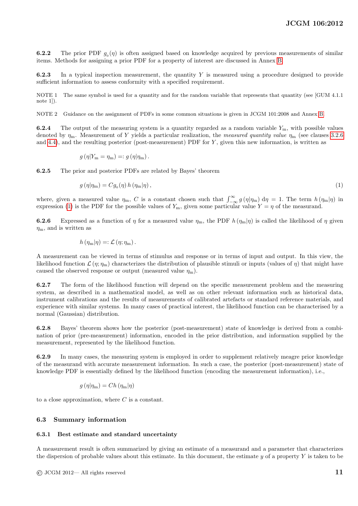**6.2.2** The prior PDF  $g_0(\eta)$  is often assigned based on knowledge acquired by previous measurements of similar items. Methods for assigning a prior PDF for a property of interest are discussed in Annex [B.](#page-47-0)

**6.2.3** In a typical inspection measurement, the quantity  $Y$  is measured using a procedure designed to provide sufficient information to assess conformity with a specified requirement.

NOTE 1 The same symbol is used for a quantity and for the random variable that represents that quantity (see [GUM 4.1.1] note 1]).

NOTE 2 Guidance on the assignment of PDFs in some common situations is given in JCGM 101:2008 and Annex [B.](#page-47-0)

**6.2.4** The output of the measuring system is a quantity regarded as a random variable  $Y_m$ , with possible values denoted by  $\eta_m$ . Measurement of Y yields a particular realization, the *measured quantity value*  $\eta_m$  (see clauses [3.2.6](#page-12-3)) and [4.4\)](#page-15-1), and the resulting posterior (post-measurement) PDF for  $Y$ , given this new information, is written as

$$
g(\eta|Y_{\mathbf{m}}=\eta_{\mathbf{m}})=:g(\eta|\eta_{\mathbf{m}}).
$$

6.2.5 The prior and posterior PDFs are related by Bayes' theorem

<span id="page-19-2"></span>
$$
g(\eta|\eta_{\rm m}) = Cg_0(\eta) h(\eta_{\rm m}|\eta) , \qquad (1)
$$

where, given a measured value  $\eta_m$ , C is a constant chosen such that  $\int_{-\infty}^{\infty} g(\eta|\eta_m) d\eta = 1$ . The term  $h(\eta_m|\eta)$  in expression [\(1\)](#page-19-2) is the PDF for the possible values of  $Y_{\rm m}$ , given some particular value  $Y = \eta$  of the measurand.

**6.2.6** Expressed as a function of  $\eta$  for a measured value  $\eta_m$ , the PDF  $h(\eta_m|\eta)$  is called the likelihood of  $\eta$  given  $\eta_{\rm m}$ , and is written as

$$
h(\eta_{\mathbf{m}}|\eta) =: \mathcal{L}(\eta; \eta_{\mathbf{m}}).
$$

A measurement can be viewed in terms of stimulus and response or in terms of input and output. In this view, the likelihood function  $\mathcal{L}(\eta; \eta_m)$  characterizes the distribution of plausible stimuli or inputs (values of  $\eta$ ) that might have caused the observed response or output (measured value  $\eta_{\rm m}$ ).

6.2.7 The form of the likelihood function will depend on the specific measurement problem and the measuring system, as described in a mathematical model, as well as on other relevant information such as historical data, instrument calibrations and the results of measurements of calibrated artefacts or standard reference materials, and experience with similar systems. In many cases of practical interest, the likelihood function can be characterised by a normal (Gaussian) distribution.

6.2.8 Bayes' theorem shows how the posterior (post-measurement) state of knowledge is derived from a combination of prior (pre-measurement) information, encoded in the prior distribution, and information supplied by the measurement, represented by the likelihood function.

6.2.9 In many cases, the measuring system is employed in order to supplement relatively meagre prior knowledge of the measurand with accurate measurement information. In such a case, the posterior (post-measurement) state of knowledge PDF is essentially defined by the likelihood function (encoding the measurement information), i.e.,

$$
g(\eta|\eta_{\rm m})=Ch(\eta_{\rm m}|\eta)
$$

to a close approximation, where C is a constant.

#### <span id="page-19-1"></span><span id="page-19-0"></span>6.3 Summary information

#### 6.3.1 Best estimate and standard uncertainty

A measurement result is often summarized by giving an estimate of a measurand and a parameter that characterizes the dispersion of probable values about this estimate. In this document, the estimate  $y$  of a property Y is taken to be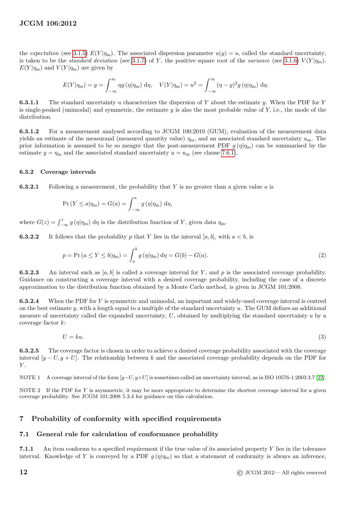the expectation (see [3.1.5\)](#page-11-2)  $E(Y|\eta_m)$ . The associated dispersion parameter  $u(y) = u$ , called the standard uncertainty, is taken to be the *standard deviation* (see [3.1.7\)](#page-11-3) of Y, the positive square root of the variance (see [3.1.6\)](#page-11-4)  $V(Y|\eta_m)$ .  $E(Y|\eta_{\text{m}})$  and  $V(Y|\eta_{\text{m}})$  are given by

$$
E(Y|\eta_{\mathbf{m}}) = y = \int_{-\infty}^{\infty} \eta g(\eta|\eta_{\mathbf{m}}) d\eta, \quad V(Y|\eta_{\mathbf{m}}) = u^2 = \int_{-\infty}^{\infty} (\eta - y)^2 g(\eta|\eta_{\mathbf{m}}) d\eta.
$$

**6.3.1.1** The standard uncertainty u characterizes the dispersion of Y about the estimate y. When the PDF for Y is single-peaked (unimodal) and symmetric, the estimate  $y$  is also the most probable value of Y, i.e., the mode of the distribution.

6.3.1.2 For a measurement analysed according to JCGM 100:2010 (GUM), evaluation of the measurement data yields an estimate of the measurand (measured quantity value)  $\eta_m$ , and an associated standard uncertainty  $u_m$ . The prior information is assumed to be so meagre that the post-measurement PDF  $g(\eta|\eta_m)$  can be summarised by the estimate  $y = \eta_m$  and the associated standard uncertainty  $u = u_m$  (see clause [7.6.1\)](#page-25-2).

#### <span id="page-20-0"></span>6.3.2 Coverage intervals

**6.3.2.1** Following a measurement, the probability that Y is no greater than a given value  $a$  is

$$
\Pr(Y \le a|\eta_m) = G(a) = \int_{-\infty}^{a} g(\eta|\eta_m) d\eta,
$$

where  $G(z) = \int_{-\infty}^{z} g(\eta|\eta_m) d\eta$  is the distribution function of Y, given data  $\eta_m$ .

**6.3.2.2** It follows that the probability p that Y lies in the interval [a, b], with  $a < b$ , is

<span id="page-20-3"></span>
$$
p = \Pr\left(a \le Y \le b | \eta_m\right) = \int_a^b g\left(\eta | \eta_m\right) d\eta = G(b) - G(a). \tag{2}
$$

**6.3.2.3** An interval such as [a, b] is called a coverage interval for Y, and p is the associated coverage probability. Guidance on constructing a coverage interval with a desired coverage probability, including the case of a discrete approximation to the distribution function obtained by a Monte Carlo method, is given in JCGM 101:2008.

6.3.2.4 When the PDF for Y is symmetric and unimodal, an important and widely-used coverage interval is centred on the best estimate  $y$ , with a length equal to a multiple of the standard uncertainty  $u$ . The GUM defines an additional measure of uncertainty called the expanded uncertainty,  $U$ , obtained by multiplying the standard uncertainty  $u$  by a coverage factor  $k$ :

$$
U = ku.\tag{3}
$$

6.3.2.5 The coverage factor is chosen in order to achieve a desired coverage probability associated with the coverage interval  $[y-U, y+U]$ . The relationship between k and the associated coverage probability depends on the PDF for Y.

NOTE 1 A coverage interval of the form [y−U, y+U] is sometimes called an uncertainty interval, as in ISO 10576-1:2003 3.7 [\[22\]](#page-54-1).

NOTE 2 If the PDF for Y is asymmetric, it may be more appropriate to determine the shortest coverage interval for a given coverage probability. See JCGM 101:2008 5.3.4 for guidance on this calculation.

### <span id="page-20-2"></span><span id="page-20-1"></span>7 Probability of conformity with specified requirements

#### 7.1 General rule for calculation of conformance probability

7.1.1 An item conforms to a specified requirement if the true value of its associated property Y lies in the tolerance interval. Knowledge of Y is conveyed by a PDF  $g(\eta|\eta_m)$  so that a statement of conformity is always an inference,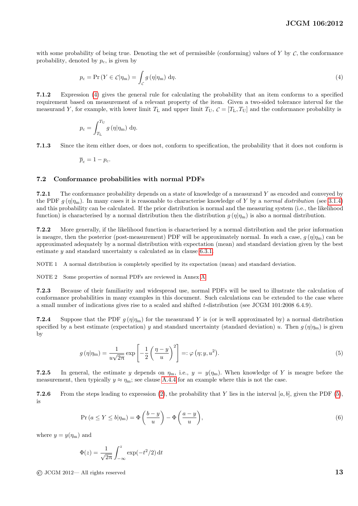with some probability of being true. Denoting the set of permissible (conforming) values of  $Y$  by  $C$ , the conformance probability, denoted by  $p_c$ , is given by

<span id="page-21-1"></span>
$$
p_{\rm c} = \Pr\left(Y \in \mathcal{C}|\eta_{\rm m}\right) = \int_{\mathcal{C}} g\left(\eta|\eta_{\rm m}\right) \, \mathrm{d}\eta. \tag{4}
$$

7.1.2 Expression [\(4\)](#page-21-1) gives the general rule for calculating the probability that an item conforms to a specified requirement based on measurement of a relevant property of the item. Given a two-sided tolerance interval for the measurand Y, for example, with lower limit  $T_L$  and upper limit  $T_U$ ,  $C = [T_L, T_U]$  and the conformance probability is

$$
p_{\rm c} = \int_{T_{\rm L}}^{T_{\rm U}} g\left(\eta | \eta_{\rm m}\right) \, \mathrm{d}\eta.
$$

7.1.3 Since the item either does, or does not, conform to specification, the probability that it does not conform is

$$
\overline{p}_{\rm c}=1-p_{\rm c}.
$$

#### <span id="page-21-0"></span>7.2 Conformance probabilities with normal PDFs

7.2.1 The conformance probability depends on a state of knowledge of a measurand Y as encoded and conveyed by the PDF  $g(\eta|\eta_m)$ . In many cases it is reasonable to characterise knowledge of Y by a normal distribution (see [3.1.4\)](#page-11-5) and this probability can be calculated. If the prior distribution is normal and the measuring system (i.e., the likelihood function) is characterised by a normal distribution then the distribution  $g(\eta|\eta_m)$  is also a normal distribution.

7.2.2 More generally, if the likelihood function is characterised by a normal distribution and the prior information is meagre, then the posterior (post-measurement) PDF will be approximately normal. In such a case,  $g(\eta|\eta_m)$  can be approximated adequately by a normal distribution with expectation (mean) and standard deviation given by the best estimate  $\gamma$  and standard uncertainty  $\alpha$  calculated as in clause [6.3.1.](#page-19-1)

NOTE 1 A normal distribution is completely specified by its expectation (mean) and standard deviation.

NOTE 2 Some properties of normal PDFs are reviewed in Annex [A.](#page-42-0)

7.2.3 Because of their familiarity and widespread use, normal PDFs will be used to illustrate the calculation of conformance probabilities in many examples in this document. Such calculations can be extended to the case where a small number of indications gives rise to a scaled and shifted t-distribution (see JCGM 101:2008 6.4.9).

7.2.4 Suppose that the PDF  $q(\eta|\eta_m)$  for the measurand Y is (or is well approximated by) a normal distribution specified by a best estimate (expectation) y and standard uncertainty (standard deviation) u. Then  $g(\eta|\eta_m)$  is given by

<span id="page-21-2"></span>
$$
g(\eta|\eta_{\rm m}) = \frac{1}{u\sqrt{2\pi}} \exp\left[-\frac{1}{2}\left(\frac{\eta-y}{u}\right)^2\right] =: \varphi(\eta; y, u^2). \tag{5}
$$

7.2.5 In general, the estimate y depends on  $\eta_m$ , i.e.,  $y = y(\eta_m)$ . When knowledge of Y is meagre before the measurement, then typically  $y \approx \eta_m$ ; see clause [A.4.4](#page-44-0) for an example where this is not the case.

**7.2.6** From the steps leading to expression [\(2\)](#page-20-3), the probability that Y lies in the interval [a, b], given the PDF [\(5\)](#page-21-2), is

<span id="page-21-3"></span>
$$
\Pr\left(a \le Y \le b | \eta_m\right) = \Phi\left(\frac{b - y}{u}\right) - \Phi\left(\frac{a - y}{u}\right),\tag{6}
$$

where  $y = y(\eta_m)$  and

$$
\Phi(z) = \frac{1}{\sqrt{2\pi}} \int_{-\infty}^{z} \exp(-t^2/2) dt
$$

 $\odot$  JCGM 2012— All rights reserved 13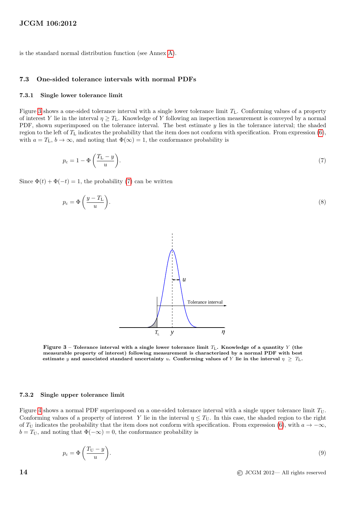### JCGM 106:2012

is the standard normal distribution function (see Annex [A\)](#page-42-0).

#### <span id="page-22-1"></span><span id="page-22-0"></span>7.3 One-sided tolerance intervals with normal PDFs

#### 7.3.1 Single lower tolerance limit

Figure [3](#page-22-3) shows a one-sided tolerance interval with a single lower tolerance limit  $T_L$ . Conforming values of a property of interest Y lie in the interval  $\eta \geq T_L$ . Knowledge of Y following an inspection measurement is conveyed by a normal PDF, shown superimposed on the tolerance interval. The best estimate y lies in the tolerance interval; the shaded region to the left of  $T<sub>L</sub>$  indicates the probability that the item does not conform with specification. From expression [\(6\)](#page-21-3), with  $a = T_{L}$ ,  $b \rightarrow \infty$ , and noting that  $\Phi(\infty) = 1$ , the conformance probability is

<span id="page-22-4"></span>
$$
p_c = 1 - \Phi\left(\frac{T_L - y}{u}\right). \tag{7}
$$

<span id="page-22-3"></span>Since  $\Phi(t) + \Phi(-t) = 1$ , the probability [\(7\)](#page-22-4) can be written

<span id="page-22-5"></span>
$$
p_{\rm c} = \Phi\left(\frac{y - T_{\rm L}}{u}\right). \tag{8}
$$



#### <span id="page-22-2"></span>7.3.2 Single upper tolerance limit

Figure [4](#page-23-2) shows a normal PDF superimposed on a one-sided tolerance interval with a single upper tolerance limit  $T_U$ . Conforming values of a property of interest Y lie in the interval  $\eta \leq T_U$ . In this case, the shaded region to the right of T<sub>U</sub> indicates the probability that the item does not conform with specification. From expression [\(6\)](#page-21-3), with  $a \to -\infty$ ,  $b = T_U$ , and noting that  $\Phi(-\infty) = 0$ , the conformance probability is

<span id="page-22-6"></span>
$$
p_{\rm c} = \Phi\left(\frac{T_{\rm U} - y}{u}\right). \tag{9}
$$



*u*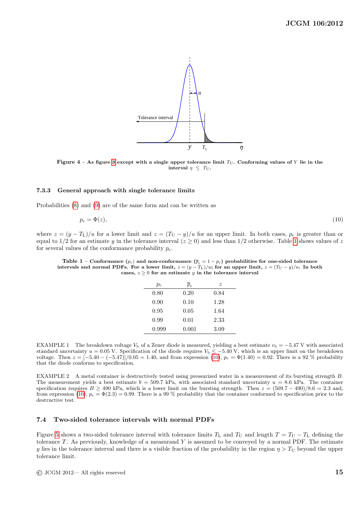<span id="page-23-2"></span>

Figure 4 – As figure [3](#page-22-3) except with a single upper tolerance limit  $T_U$ . Conforming values of Y lie in the interval  $\eta \leq T_U$ .

#### <span id="page-23-0"></span>7.3.3 General approach with single tolerance limits

Probabilities [\(8\)](#page-22-5) and [\(9\)](#page-22-6) are of the same form and can be written as

<span id="page-23-4"></span>
$$
p_{\rm c} = \Phi(z),\tag{10}
$$

where  $z = (y - T_L)/u$  for a lower limit and  $z = (T_U - y)/u$  for an upper limit. In both cases,  $p_c$  is greater than or equal to [1](#page-23-3)/2 for an estimate y in the tolerance interval  $(z > 0)$  and less than 1/2 otherwise. Table 1 shows values of z for several values of the conformance probability  $p_c$ .

<span id="page-23-3"></span>Table 1 – Conformance ( $p_c$ ) and non-conformance ( $\overline{p}_c = 1 - p_c$ ) probabilities for one-sided tolerance intervals and normal PDFs. For a lower limit,  $z = (y - T_{\rm L})/u$ ; for an upper limit,  $z = (T_{\rm U} - y)/u$ . In both cases,  $z \geq 0$  for an estimate y in the tolerance interval

| $p_c$ | $p_c$ | $\tilde{z}$ |
|-------|-------|-------------|
| 0.80  | 0.20  | 0.84        |
| 0.90  | 0.10  | 1.28        |
| 0.95  | 0.05  | 1.64        |
| 0.99  | 0.01  | 2.33        |
| 0.999 | 0.001 | 3.09        |

EXAMPLE 1 The breakdown voltage  $V<sub>b</sub>$  of a Zener diode is measured, yielding a best estimate  $v<sub>b</sub> = -5.47$  V with associated standard uncertainty  $u = 0.05$  V. Specification of the diode requires  $V_b \le -5.40$  V, which is an upper limit on the breakdown voltage. Then  $z = \frac{-5.40 - (-5.47)}{0.05} = 1.40$ , and from expression [\(10\)](#page-23-4),  $p_c = \Phi(1.40) = 0.92$ . There is a 92 % probability that the diode conforms to specification.

EXAMPLE 2 A metal container is destructively tested using pressurized water in a measurement of its bursting strength B. The measurement yields a best estimate  $b = 509.7$  kPa, with associated standard uncertainty  $u = 8.6$  kPa. The container specification requires  $B \ge 490$  kPa, which is a lower limit on the bursting strength. Then  $z = (509.7 - 490)/8.6 = 2.3$  and, from expression [\(10\)](#page-23-4),  $p_c = \Phi(2.3) = 0.99$ . There is a 99 % probability that the container conformed to specification prior to the destructive test.

#### <span id="page-23-1"></span>7.4 Two-sided tolerance intervals with normal PDFs

Figure [5](#page-24-1) shows a two-sided tolerance interval with tolerance limits  $T_L$  and  $T_U$  and length  $T = T_U - T_L$  defining the tolerance  $T$ . As previously, knowledge of a measurand Y is assumed to be conveyed by a normal PDF. The estimate y lies in the tolerance interval and there is a visible fraction of the probability in the region  $\eta > T_U$  beyond the upper tolerance limit.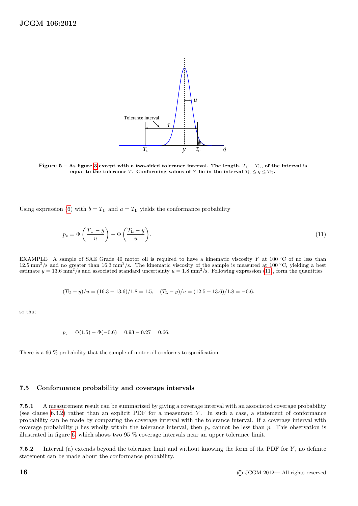<span id="page-24-1"></span>

Figure 5 – As figure [3](#page-22-3) except with a two-sided tolerance interval. The length,  $T_U - T_L$ , of the interval is equal to the tolerance T. Conforming values of Y lie in the interval  $T_L \leq \eta \leq T_U$ .

Using expression [\(6\)](#page-21-3) with  $b = T_U$  and  $a = T_L$  yields the conformance probability

<span id="page-24-2"></span>
$$
p_{\rm c} = \Phi\left(\frac{T_{\rm U} - y}{u}\right) - \Phi\left(\frac{T_{\rm L} - y}{u}\right). \tag{11}
$$

EXAMPLE A sample of SAE Grade 40 motor oil is required to have a kinematic viscosity Y at 100 °C of no less than 12.5 mm<sup>2</sup>/s and no greater than 16.3 mm<sup>2</sup>/s. The kinematic viscosity of the sample is measured at 100 °C, yielding a best estimate  $y = 13.6 \text{ mm}^2/\text{s}$  and associated standard uncertainty  $u = 1.8 \text{ mm}^2/\text{s}$ . Following expression [\(11\)](#page-24-2), form the quantities

$$
(T_U - y)/u = (16.3 - 13.6)/1.8 = 1.5
$$
,  $(T_L - y)/u = (12.5 - 13.6)/1.8 = -0.6$ ,

so that

$$
p_{\rm c} = \Phi(1.5) - \Phi(-0.6) = 0.93 - 0.27 = 0.66.
$$

There is a 66 % probability that the sample of motor oil conforms to specification.

### <span id="page-24-0"></span>7.5 Conformance probability and coverage intervals

7.5.1 A measurement result can be summarized by giving a coverage interval with an associated coverage probability (see clause [6.3.2\)](#page-20-0) rather than an explicit PDF for a measurand Y. In such a case, a statement of conformance probability can be made by comparing the coverage interval with the tolerance interval. If a coverage interval with coverage probability p lies wholly within the tolerance interval, then  $p_c$  cannot be less than p. This observation is illustrated in figure [6,](#page-25-3) which shows two 95 % coverage intervals near an upper tolerance limit.

**7.5.2** Interval (a) extends beyond the tolerance limit and without knowing the form of the PDF for  $Y$ , no definite statement can be made about the conformance probability.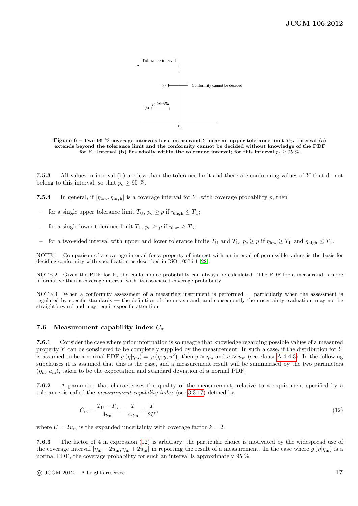

<span id="page-25-3"></span>Figure 6 – Two 95 % coverage intervals for a measurand Y near an upper tolerance limit  $T_U$ . Interval (a) extends beyond the tolerance limit and the conformity cannot be decided without knowledge of the PDF for Y. Interval (b) lies wholly within the tolerance interval; for this interval  $p_c \ge 95$  %.

7.5.3 All values in interval (b) are less than the tolerance limit and there are conforming values of Y that do not belong to this interval, so that  $p_c \geq 95\%$ .

**7.5.4** In general, if  $[\eta_{\text{low}}, \eta_{\text{high}}]$  is a coverage interval for Y, with coverage probability p, then

- for a single upper tolerance limit  $T_U$ ,  $p_c \geq p$  if  $\eta_{\text{high}} \leq T_U$ ;
- for a single lower tolerance limit  $T_L$ ,  $p_c \geq p$  if  $\eta_{\text{low}} \geq T_L$ ;
- for a two-sided interval with upper and lower tolerance limits  $T_U$  and  $T_L$ ,  $p_c \geq p$  if  $\eta_{\text{low}} \geq T_L$  and  $\eta_{\text{high}} \leq T_U$ .

NOTE 1 Comparison of a coverage interval for a property of interest with an interval of permissible values is the basis for deciding conformity with specification as described in ISO 10576-1 [\[22\]](#page-54-1).

NOTE 2 Given the PDF for Y, the conformance probability can always be calculated. The PDF for a measurand is more informative than a coverage interval with its associated coverage probability.

NOTE 3 When a conformity assessment of a measuring instrument is performed — particularly when the assessment is regulated by specific standards — the definition of the measurand, and consequently the uncertainty evaluation, may not be straightforward and may require specific attention.

### <span id="page-25-2"></span><span id="page-25-0"></span>7.6 Measurement capability index  $C_m$

7.6.1 Consider the case where prior information is so meagre that knowledge regarding possible values of a measured property  $Y$  can be considered to be completely supplied by the measurement. In such a case, if the distribution for  $Y$ is assumed to be a normal PDF  $g(\eta|\eta_m) = \varphi(\eta; y, u^2)$ , then  $y \approx \eta_m$  and  $u \approx u_m$  (see clause [A.4.4.3\)](#page-45-1). In the following subclauses it is assumed that this is the case, and a measurement result will be summarised by the two parameters  $(\eta_m, u_m)$ , taken to be the expectation and standard deviation of a normal PDF.

7.6.2 A parameter that characterises the quality of the measurement, relative to a requirement specified by a tolerance, is called the measurement capability index (see [3.3.17\)](#page-15-2) defined by

<span id="page-25-4"></span>
$$
C_{\rm m} = \frac{T_{\rm U} - T_{\rm L}}{4u_{\rm m}} = \frac{T}{4u_{\rm m}} = \frac{T}{2U},\tag{12}
$$

<span id="page-25-1"></span>where  $U = 2u_m$  is the expanded uncertainty with coverage factor  $k = 2$ .

7.6.3 The factor of 4 in expression [\(12\)](#page-25-4) is arbitrary; the particular choice is motivated by the widespread use of the coverage interval  $[\eta_m - 2u_m, \eta_m + 2u_m]$  in reporting the result of a measurement. In the case where  $g(\eta|\eta_m)$  is a normal PDF, the coverage probability for such an interval is approximately 95 %.

 $\odot$  JCGM 2012— All rights reserved  $17$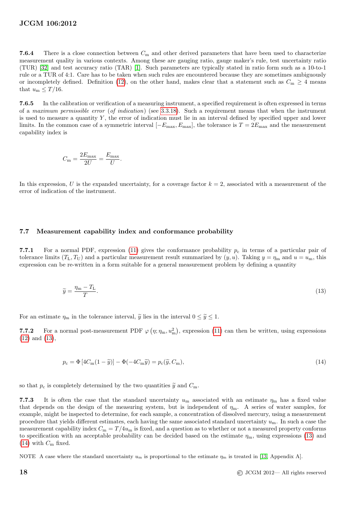**7.6.4** There is a close connection between  $C_m$  and other derived parameters that have been used to characterize measurement quality in various contexts. Among these are gauging ratio, gauge maker's rule, test uncertainty ratio (TUR) [\[32\]](#page-55-13) and test accuracy ratio (TAR) [\[1\]](#page-54-13). Such parameters are typically stated in ratio form such as a 10-to-1 rule or a TUR of 4:1. Care has to be taken when such rules are encountered because they are sometimes ambiguously or incompletely defined. Definition [\(12\)](#page-25-4), on the other hand, makes clear that a statement such as  $C_m \geq 4$  means that  $u_m < T/16$ .

7.6.5 In the calibration or verification of a measuring instrument, a specified requirement is often expressed in terms of a maximum permissible error (of indication) (see [3.3.18\)](#page-15-3). Such a requirement means that when the instrument is used to measure a quantity  $Y$ , the error of indication must lie in an interval defined by specified upper and lower limits. In the common case of a symmetric interval  $[-E_{\text{max}}, E_{\text{max}}]$ , the tolerance is  $T = 2E_{\text{max}}$  and the measurement capability index is

$$
C_{\rm m} = \frac{2E_{\rm max}}{2U} = \frac{E_{\rm max}}{U}.
$$

In this expression, U is the expanded uncertainty, for a coverage factor  $k = 2$ , associated with a measurement of the error of indication of the instrument.

#### <span id="page-26-0"></span>7.7 Measurement capability index and conformance probability

7.7.1 For a normal PDF, expression [\(11\)](#page-24-2) gives the conformance probability  $p_c$  in terms of a particular pair of tolerance limits  $(T_L, T_U)$  and a particular measurement result summarized by  $(y, u)$ . Taking  $y = \eta_m$  and  $u = u_m$ , this expression can be re-written in a form suitable for a general measurement problem by defining a quantity

<span id="page-26-1"></span>
$$
\widetilde{y} = \frac{\eta_{\rm m} - T_{\rm L}}{T}.\tag{13}
$$

For an estimate  $\eta_m$  in the tolerance interval,  $\tilde{y}$  lies in the interval  $0 \le \tilde{y} \le 1$ .

7.7.2 For a normal post-measurement PDF  $\varphi(\eta; \eta_m, u_m^2)$ , expression [\(11\)](#page-24-2) can then be written, using expressions [\(12\)](#page-25-4) and [\(13\)](#page-26-1),

<span id="page-26-2"></span>
$$
p_{\rm c} = \Phi \left[ 4C_{\rm m}(1 - \tilde{y}) \right] - \Phi(-4C_{\rm m}\tilde{y}) = p_{\rm c}(\tilde{y}, C_{\rm m}),\tag{14}
$$

so that  $p_c$  is completely determined by the two quantities  $\tilde{y}$  and  $C_m$ .

7.7.3 It is often the case that the standard uncertainty  $u_m$  associated with an estimate  $\eta_m$  has a fixed value that depends on the design of the measuring system, but is independent of  $\eta_m$ . A series of water samples, for example, might be inspected to determine, for each sample, a concentration of dissolved mercury, using a measurement procedure that yields different estimates, each having the same associated standard uncertainty  $u_m$ . In such a case the measurement capability index  $C_m = T/4u_m$  is fixed, and a question as to whether or not a measured property conforms to specification with an acceptable probability can be decided based on the estimate  $\eta_m$ , using expressions [\(13\)](#page-26-1) and [\(14\)](#page-26-2) with  $C_m$  fixed.

NOTE A case where the standard uncertainty  $u_m$  is proportional to the estimate  $\eta_m$  is treated in [\[13,](#page-54-7) Appendix A].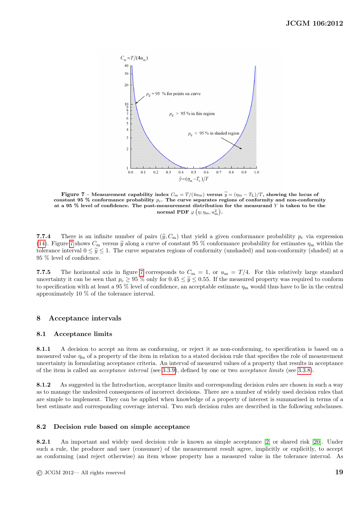<span id="page-27-3"></span>

Figure 7 – Measurement capability index  $C_m = T/(4u_m)$  versus  $\tilde{y} = (\eta_m - T_L)/T$ , showing the locus of constant 95 % conformance probability  $p_c$ . The curve separates regions of conformity and non-conformity at a 95 % level of confidence. The post-measurement distribution for the measurand Y is taken to be the  ${\bf normal} \; {\bf PDF} \; \varphi \left(\eta; \eta_{\rm m}, u_{\rm m}^2 \right)$ .

**7.7.4** There is an infinite number of pairs  $(\tilde{y}, C_m)$  that yield a given conformance probability  $p_c$  via expression [\(14\)](#page-26-2). Figure [7](#page-27-3) shows  $C_m$  versus  $\tilde{y}$  along a curve of constant 95 % conformance probability for estimates  $\eta_m$  within the tolerance interval  $0 \leq \tilde{y} \leq 1$ . The curve separates regions of conformity (unshaded) and non-conformity (shaded) at a 95 % level of confidence.

7.7.5 The horizontal axis in figure [7](#page-27-3) corresponds to  $C_m = 1$ , or  $u_m = T/4$ . For this relatively large standard uncertainty it can be seen that  $p_c \ge 95\%$  only for  $0.45 \le \tilde{y} \le 0.55$ . If the measured property was required to conform to specification with at least a 95 % level of confidence, an acceptable estimate  $\eta_m$  would thus have to lie in the central approximately 10 % of the tolerance interval.

### <span id="page-27-1"></span><span id="page-27-0"></span>8 Acceptance intervals

#### 8.1 Acceptance limits

8.1.1 A decision to accept an item as conforming, or reject it as non-conforming, to specification is based on a measured value  $\eta_m$  of a property of the item in relation to a stated decision rule that specifies the role of measurement uncertainty in formulating acceptance criteria. An interval of measured values of a property that results in acceptance of the item is called an acceptance interval (see [3.3.9\)](#page-14-0), defined by one or two acceptance limits (see [3.3.8\)](#page-14-2).

8.1.2 As suggested in the Introduction, acceptance limits and corresponding decision rules are chosen in such a way as to manage the undesired consequences of incorrect decisions. There are a number of widely used decision rules that are simple to implement. They can be applied when knowledge of a property of interest is summarised in terms of a best estimate and corresponding coverage interval. Two such decision rules are described in the following subclauses.

#### <span id="page-27-2"></span>8.2 Decision rule based on simple acceptance

8.2.1 An important and widely used decision rule is known as simple acceptance [\[2\]](#page-54-8) or shared risk [\[20\]](#page-54-14). Under such a rule, the producer and user (consumer) of the measurement result agree, implicitly or explicitly, to accept as conforming (and reject otherwise) an item whose property has a measured value in the tolerance interval. As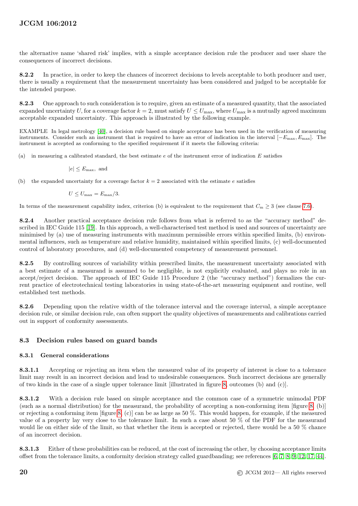the alternative name 'shared risk' implies, with a simple acceptance decision rule the producer and user share the consequences of incorrect decisions.

8.2.2 In practice, in order to keep the chances of incorrect decisions to levels acceptable to both producer and user, there is usually a requirement that the measurement uncertainty has been considered and judged to be acceptable for the intended purpose.

8.2.3 One approach to such consideration is to require, given an estimate of a measured quantity, that the associated expanded uncertainty U, for a coverage factor  $k = 2$ , must satisfy  $U \leq U_{\text{max}}$ , where  $U_{\text{max}}$  is a mutually agreed maximum acceptable expanded uncertainty. This approach is illustrated by the following example.

EXAMPLE In legal metrology [\[40\]](#page-55-14), a decision rule based on simple acceptance has been used in the verification of measuring instruments. Consider such an instrument that is required to have an error of indication in the interval  $[-E_{\text{max}}, E_{\text{max}}]$ . The instrument is accepted as conforming to the specified requirement if it meets the following criteria:

(a) in measuring a calibrated standard, the best estimate  $e$  of the instrument error of indication  $E$  satisfies

 $|e| \le E_{\text{max}}$ , and

(b) the expanded uncertainty for a coverage factor  $k = 2$  associated with the estimate e satisfies

 $U \leq U_{\text{max}} = E_{\text{max}}/3.$ 

In terms of the measurement capability index, criterion (b) is equivalent to the requirement that  $C_m \geq 3$  (see clause [7.6\)](#page-25-0).

8.2.4 Another practical acceptance decision rule follows from what is referred to as the "accuracy method" described in IEC Guide 115 [\[19\]](#page-54-6). In this approach, a well-characterised test method is used and sources of uncertainty are minimised by (a) use of measuring instruments with maximum permissible errors within specified limits, (b) environmental influences, such as temperature and relative humidity, maintained within specified limits, (c) well-documented control of laboratory procedures, and (d) well-documented competency of measurement personnel.

8.2.5 By controlling sources of variability within prescribed limits, the measurement uncertainty associated with a best estimate of a measurand is assumed to be negligible, is not explicitly evaluated, and plays no role in an accept/reject decision. The approach of IEC Guide 115 Procedure 2 (the "accuracy method") formalizes the current practice of electrotechnical testing laboratories in using state-of-the-art measuring equipment and routine, well established test methods.

8.2.6 Depending upon the relative width of the tolerance interval and the coverage interval, a simple acceptance decision rule, or similar decision rule, can often support the quality objectives of measurements and calibrations carried out in support of conformity assessments.

### <span id="page-28-1"></span><span id="page-28-0"></span>8.3 Decision rules based on guard bands

### 8.3.1 General considerations

8.3.1.1 Accepting or rejecting an item when the measured value of its property of interest is close to a tolerance limit may result in an incorrect decision and lead to undesirable consequences. Such incorrect decisions are generally of two kinds in the case of a single upper tolerance limit [illustrated in figure [8,](#page-29-1) outcomes (b) and (c)].

8.3.1.2 With a decision rule based on simple acceptance and the common case of a symmetric unimodal PDF (such as a normal distribution) for the measurand, the probability of accepting a non-conforming item [figure [8,](#page-29-1)  $(b)$ ] or rejecting a conforming item [figure [8,](#page-29-1) (c)] can be as large as 50 %. This would happen, for example, if the measured value of a property lay very close to the tolerance limit. In such a case about 50 % of the PDF for the measurand would lie on either side of the limit, so that whether the item is accepted or rejected, there would be a 50 % chance of an incorrect decision.

8.3.1.3 Either of these probabilities can be reduced, at the cost of increasing the other, by choosing acceptance limits offset from the tolerance limits, a conformity decision strategy called guardbanding; see references [\[6,](#page-54-15) [7,](#page-54-16) [8,](#page-54-17) [9,](#page-54-18) [12,](#page-54-19) [17,](#page-54-20) [44\]](#page-55-5).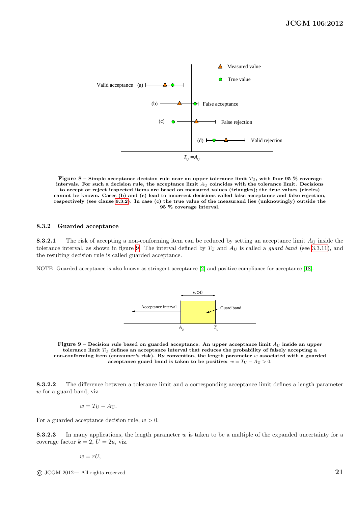<span id="page-29-1"></span>

Figure 8 – Simple acceptance decision rule near an upper tolerance limit  $T_U$ , with four 95 % coverage intervals. For such a decision rule, the acceptance limit  $A_{\text{U}}$  coincides with the tolerance limit. Decisions to accept or reject inspected items are based on measured values (triangles); the true values (circles) cannot be known. Cases (b) and (c) lead to incorrect decisions called false acceptance and false rejection, respectively (see clause [9.3.2\)](#page-32-2). In case (c) the true value of the measurand lies (unknowingly) outside the 95 % coverage interval.

#### <span id="page-29-0"></span>8.3.2 Guarded acceptance

**8.3.2.1** The risk of accepting a non-conforming item can be reduced by setting an acceptance limit  $A_U$  inside the tolerance interval, as shown in figure [9.](#page-29-2) The interval defined by  $T_U$  and  $A_U$  is called a *guard band* (see [3.3.11\)](#page-14-4), and the resulting decision rule is called guarded acceptance.

<span id="page-29-2"></span>NOTE Guarded acceptance is also known as stringent acceptance [\[2\]](#page-54-8) and positive compliance for acceptance [\[18\]](#page-54-21).



Figure 9 – Decision rule based on guarded acceptance. An upper acceptance limit  $A_U$  inside an upper tolerance limit  $T_U$  defines an acceptance interval that reduces the probability of falsely accepting a non-conforming item (consumer's risk). By convention, the length parameter w associated with a guarded acceptance guard band is taken to be positive:  $w = T_U - A_U > 0$ .

8.3.2.2 The difference between a tolerance limit and a corresponding acceptance limit defines a length parameter w for a guard band, viz.

$$
w = T_{\mathbf{U}} - A_{\mathbf{U}}.
$$

For a guarded acceptance decision rule,  $w > 0$ .

8.3.2.3 In many applications, the length parameter  $w$  is taken to be a multiple of the expanded uncertainty for a coverage factor  $k = 2$ ,  $U = 2u$ , viz.

$$
w = rU,
$$

 $\odot$  JCGM 2012— All rights reserved 21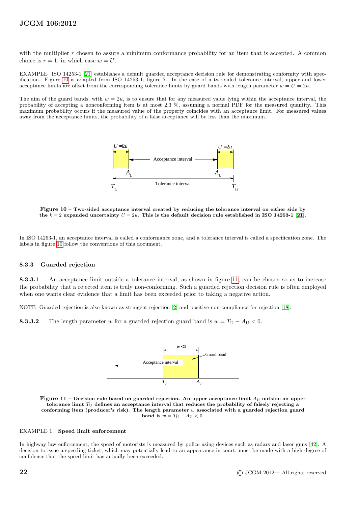with the multiplier r chosen to assure a minimum conformance probability for an item that is accepted. A common choice is  $r = 1$ , in which case  $w = U$ .

EXAMPLE ISO 14253-1 [\[21\]](#page-54-9) establishes a default guarded acceptance decision rule for demonstrating conformity with specification. Figure [10](#page-30-1) is adapted from ISO 14253-1, figure 7. In the case of a two-sided tolerance interval, upper and lower acceptance limits are offset from the corresponding tolerance limits by guard bands with length parameter  $w = U = 2u$ .

<span id="page-30-1"></span>The aim of the guard bands, with  $w = 2u$ , is to ensure that for any measured value lying within the acceptance interval, the probability of accepting a nonconforming item is at most 2.3 %, assuming a normal PDF for the measured quantity. This maximum probability occurs if the measured value of the property coincides with an acceptance limit. For measured values away from the acceptance limits, the probability of a false acceptance will be less than the maximum.



Figure 10 – Two-sided acceptance interval created by reducing the tolerance interval on either side by the  $k = 2$  expanded uncertainty  $U = 2u$ . This is the default decision rule established in ISO 14253-1 [\[21\]](#page-54-9).

In ISO 14253-1, an acceptance interval is called a conformance zone, and a tolerance interval is called a specification zone. The labels in figure [10](#page-30-1) follow the conventions of this document.

#### <span id="page-30-0"></span>8.3.3 Guarded rejection

8.3.3.1 An acceptance limit outside a tolerance interval, as shown in figure [11,](#page-30-2) can be chosen so as to increase the probability that a rejected item is truly non-conforming. Such a guarded rejection decision rule is often employed when one wants clear evidence that a limit has been exceeded prior to taking a negative action.

NOTE Guarded rejection is also known as stringent rejection [\[2\]](#page-54-8) and positive non-compliance for rejection [\[18\]](#page-54-21).

<span id="page-30-2"></span>**8.3.3.2** The length parameter w for a guarded rejection guard band is  $w = T_U - A_U < 0$ .



Figure 11 – Decision rule based on guarded rejection. An upper acceptance limit  $A_U$  outside an upper tolerance limit  $T_U$  defines an acceptance interval that reduces the probability of falsely rejecting a conforming item (producer's risk). The length parameter  $w$  associated with a guarded rejection guard band is  $w = T_U - A_U < 0$ .

#### EXAMPLE 1 Speed limit enforcement

In highway law enforcement, the speed of motorists is measured by police using devices such as radars and laser guns [\[42\]](#page-55-15). A decision to issue a speeding ticket, which may potentially lead to an appearance in court, must be made with a high degree of confidence that the speed limit has actually been exceeded.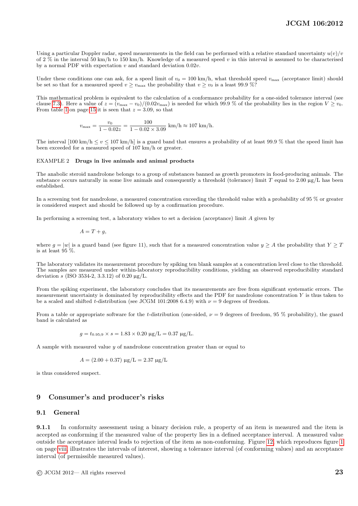Using a particular Doppler radar, speed measurements in the field can be performed with a relative standard uncertainty  $u(v)/v$ of 2 % in the interval 50 km/h to 150 km/h. Knowledge of a measured speed v in this interval is assumed to be characterised by a normal PDF with expectation  $v$  and standard deviation 0.02 $v$ .

Under these conditions one can ask, for a speed limit of  $v_0 = 100 \text{ km/h}$ , what threshold speed  $v_{\text{max}}$  (acceptance limit) should be set so that for a measured speed  $v \ge v_{\text{max}}$  the probability that  $v \ge v_0$  is a least 99.9 %?

This mathematical problem is equivalent to the calculation of a conformance probability for a one-sided tolerance interval (see clause [7.3\)](#page-22-0). Here a value of  $z = (v_{\text{max}} - v_0)/(0.02v_{\text{max}})$  is needed for which 99.9 % of the probability lies in the region  $V \ge v_0$ . From table [1](#page-23-3) on page [15](#page-23-3) it is seen that  $z = 3.09$ , so that

$$
v_{\text{max}} = \frac{v_0}{1 - 0.02z} = \frac{100}{1 - 0.02 \times 3.09} \text{ km/h} \approx 107 \text{ km/h}.
$$

The interval  $[100 \text{ km/h} < v < 107 \text{ km/h}]$  is a guard band that ensures a probability of at least 99.9 % that the speed limit has been exceeded for a measured speed of 107 km/h or greater.

#### EXAMPLE 2 Drugs in live animals and animal products

The anabolic steroid nandrolone belongs to a group of substances banned as growth promoters in food-producing animals. The substance occurs naturally in some live animals and consequently a threshold (tolerance) limit  $T$  equal to 2.00  $\mu$ g/L has been established.

In a screening test for nandrolone, a measured concentration exceeding the threshold value with a probability of 95 % or greater is considered suspect and should be followed up by a confirmation procedure.

In performing a screening test, a laboratory wishes to set a decision (acceptance) limit A given by

$$
A = T + g,
$$

where  $g = |w|$  is a guard band (see figure 11), such that for a measured concentration value  $y \ge A$  the probability that  $Y \ge T$ is at least 95 %.

The laboratory validates its measurement procedure by spiking ten blank samples at a concentration level close to the threshold. The samples are measured under within-laboratory reproducibility conditions, yielding an observed reproducibility standard deviation s (ISO 3534-2, 3.3.12) of 0.20  $\mu$ g/L.

From the spiking experiment, the laboratory concludes that its measurements are free from significant systematic errors. The measurement uncertainty is dominated by reproducibility effects and the PDF for nandrolone concentration Y is thus taken to be a scaled and shifted t-distribution (see JCGM 101:2008 6.4.9) with  $\nu = 9$  degrees of freedom.

From a table or appropriate software for the t-distribution (one-sided,  $\nu = 9$  degrees of freedom, 95 % probability), the guard band is calculated as

$$
g = t_{0.95;9} \times s = 1.83 \times 0.20 \text{ µg/L} = 0.37 \text{ µg/L}.
$$

A sample with measured value y of nandrolone concentration greater than or equal to

$$
A = (2.00 + 0.37) \text{ µg/L} = 2.37 \text{ µg/L}
$$

is thus considered suspect.

### <span id="page-31-1"></span><span id="page-31-0"></span>9 Consumer's and producer's risks

#### 9.1 General

9.1.1 In conformity assessment using a binary decision rule, a property of an item is measured and the item is accepted as conforming if the measured value of the property lies in a defined acceptance interval. A measured value outside the acceptance interval leads to rejection of the item as non-conforming. Figure [12,](#page-32-3) which reproduces figure [1](#page-8-0) on page [viii,](#page-8-0) illustrates the intervals of interest, showing a tolerance interval (of conforming values) and an acceptance interval (of permissible measured values).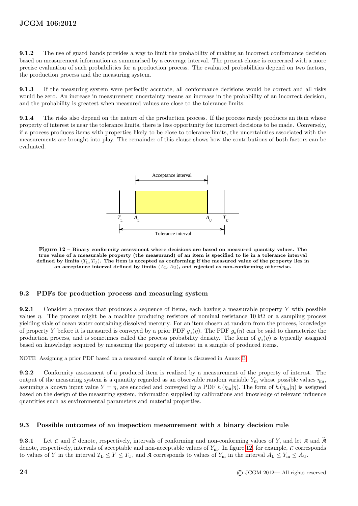**9.1.2** The use of guard bands provides a way to limit the probability of making an incorrect conformance decision based on measurement information as summarised by a coverage interval. The present clause is concerned with a more precise evaluation of such probabilities for a production process. The evaluated probabilities depend on two factors, the production process and the measuring system.

9.1.3 If the measuring system were perfectly accurate, all conformance decisions would be correct and all risks would be zero. An increase in measurement uncertainty means an increase in the probability of an incorrect decision, and the probability is greatest when measured values are close to the tolerance limits.

<span id="page-32-3"></span>**9.1.4** The risks also depend on the nature of the production process. If the process rarely produces an item whose property of interest is near the tolerance limits, there is less opportunity for incorrect decisions to be made. Conversely, if a process produces items with properties likely to be close to tolerance limits, the uncertainties associated with the measurements are brought into play. The remainder of this clause shows how the contributions of both factors can be evaluated.



Figure 12 – Binary conformity assessment where decisions are based on measured quantity values. The true value of a measurable property (the measurand) of an item is specified to lie in a tolerance interval defined by limits  $(T_L, T_U)$ . The item is accepted as conforming if the measured value of the property lies in an acceptance interval defined by limits  $(A_L, A_U)$ , and rejected as non-conforming otherwise.

### <span id="page-32-0"></span>9.2 PDFs for production process and measuring system

9.2.1 Consider a process that produces a sequence of items, each having a measurable property Y with possible values  $\eta$ . The process might be a machine producing resistors of nominal resistance 10 k $\Omega$  or a sampling process yielding vials of ocean water containing dissolved mercury. For an item chosen at random from the process, knowledge of property Y before it is measured is conveyed by a prior PDF  $g_0(\eta)$ . The PDF  $g_0(\eta)$  can be said to characterize the production process, and is sometimes called the process probability density. The form of  $g_0(\eta)$  is typically assigned based on knowledge acquired by measuring the property of interest in a sample of produced items.

NOTE Assigning a prior PDF based on a measured sample of items is discussed in Annex [B.](#page-47-0)

9.2.2 Conformity assessment of a produced item is realized by a measurement of the property of interest. The output of the measuring system is a quantity regarded as an observable random variable  $Y_m$  whose possible values  $\eta_m$ , assuming a known input value  $Y = \eta$ , are encoded and conveyed by a PDF  $h(\eta_m|\eta)$ . The form of  $h(\eta_m|\eta)$  is assigned based on the design of the measuring system, information supplied by calibrations and knowledge of relevant influence quantities such as environmental parameters and material properties.

### <span id="page-32-1"></span>9.3 Possible outcomes of an inspection measurement with a binary decision rule

<span id="page-32-2"></span>**9.3.1** Let *C* and  $\tilde{\mathcal{C}}$  denote, respectively, intervals of conforming and non-conforming values of Y, and let  $\mathcal{A}$  and  $\tilde{\mathcal{A}}$ denote, respectively, intervals of acceptable and non-acceptable values of  $Y_m$ . In figure [12,](#page-32-3) for example,  $C$  corresponds to values of Y in the interval  $T_L \le Y \le T_U$ , and  $\mathcal A$  corresponds to values of  $Y_m$  in the interval  $A_L \le Y_m \le A_U$ .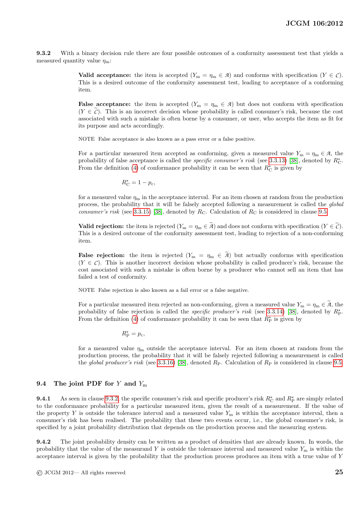**9.3.2** With a binary decision rule there are four possible outcomes of a conformity assessment test that yields a measured quantity value  $\eta_{\rm m}$ :

> **Valid acceptance:** the item is accepted  $(Y_m = \eta_m \in \mathcal{A})$  and conforms with specification  $(Y \in \mathcal{C})$ . This is a desired outcome of the conformity assessment test, leading to acceptance of a conforming item.

> **False acceptance:** the item is accepted  $(Y_m = \eta_m \in \mathcal{A})$  but does not conform with specification  $(Y \in \tilde{C})$ . This is an incorrect decision whose probability is called consumer's risk, because the cost associated with such a mistake is often borne by a consumer, or user, who accepts the item as fit for its purpose and acts accordingly.

NOTE False acceptance is also known as a pass error or a false positive.

For a particular measured item accepted as conforming, given a measured value  $Y_m = \eta_m \in \mathcal{A}$ , the probability of false acceptance is called the *specific consumer's risk* (see [3.3.13\)](#page-14-5) [\[38\]](#page-55-9), denoted by  $R_C^*$ . From the definition [\(4\)](#page-21-1) of conformance probability it can be seen that  $R_C^*$  is given by

$$
R_{\rm C}^* = 1 - p_{\rm c},
$$

for a measured value  $\eta_m$  in the acceptance interval. For an item chosen at random from the production process, the probability that it will be falsely accepted following a measurement is called the global consumer's risk (see [3.3.15\)](#page-15-4) [\[38\]](#page-55-9), denoted by  $R_{\rm C}$ . Calculation of  $R_{\rm C}$  is considered in clause [9.5.](#page-34-0)

**Valid rejection:** the item is rejected  $(Y_m = \eta_m \in \tilde{A})$  and does not conform with specification  $(Y \in \tilde{C})$ . This is a desired outcome of the conformity assessment test, leading to rejection of a non-conforming item.

**False rejection:** the item is rejected  $(Y_m = \eta_m \in \tilde{\mathcal{A}})$  but actually conforms with specification  $(Y \in \mathcal{C})$ . This is another incorrect decision whose probability is called producer's risk, because the cost associated with such a mistake is often borne by a producer who cannot sell an item that has failed a test of conformity.

NOTE False rejection is also known as a fail error or a false negative.

For a particular measured item rejected as non-conforming, given a measured value  $Y_m = \eta_m \in \mathcal{A}$ , the probability of false rejection is called the *specific producer's risk* (see [3.3.14\)](#page-14-6) [\[38\]](#page-55-9), denoted by  $R_P^*$ . From the definition [\(4\)](#page-21-1) of conformance probability it can be seen that  $R_P^*$  is given by

$$
R_{\rm P}^* = p_{\rm c},
$$

for a measured value  $\eta_m$  outside the acceptance interval. For an item chosen at random from the production process, the probability that it will be falsely rejected following a measurement is called the global producer's risk (see [3.3.16\)](#page-15-5) [\[38\]](#page-55-9), denoted  $R<sub>P</sub>$ . Calculation of  $R<sub>P</sub>$  is considered in clause [9.5.](#page-34-0)

### <span id="page-33-0"></span>9.4 The joint PDF for  $Y$  and  $Y_m$

**9.4.1** As seen in clause [9.3.2,](#page-32-2) the specific consumer's risk and specific producer's risk  $R_C^*$  and  $R_P^*$  are simply related to the conformance probability for a particular measured item, given the result of a measurement. If the value of the property Y is outside the tolerance interval and a measured value  $Y_m$  is within the acceptance interval, then a consumer's risk has been realised. The probability that these two events occur, i.e., the global consumer's risk, is specified by a joint probability distribution that depends on the production process and the measuring system.

9.4.2 The joint probability density can be written as a product of densities that are already known. In words, the probability that the value of the measurand Y is outside the tolerance interval and measured value  $Y_m$  is within the acceptance interval is given by the probability that the production process produces an item with a true value of Y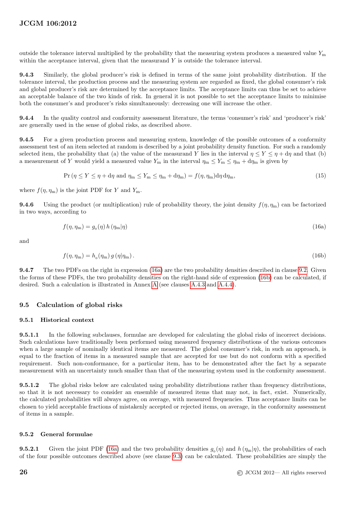outside the tolerance interval multiplied by the probability that the measuring system produces a measured value  $Y_{\rm m}$ within the acceptance interval, given that the measurand Y is outside the tolerance interval.

9.4.3 Similarly, the global producer's risk is defined in terms of the same joint probability distribution. If the tolerance interval, the production process and the measuring system are regarded as fixed, the global consumer's risk and global producer's risk are determined by the acceptance limits. The acceptance limits can thus be set to achieve an acceptable balance of the two kinds of risk. In general it is not possible to set the acceptance limits to minimise both the consumer's and producer's risks simultaneously: decreasing one will increase the other.

9.4.4 In the quality control and conformity assessment literature, the terms 'consumer's risk' and 'producer's risk' are generally used in the sense of global risks, as described above.

9.4.5 For a given production process and measuring system, knowledge of the possible outcomes of a conformity assessment test of an item selected at random is described by a joint probability density function. For such a randomly selected item, the probability that (a) the value of the measurand Y lies in the interval  $\eta \le Y \le \eta + d\eta$  and that (b) a measurement of Y would yield a measured value  $Y_m$  in the interval  $\eta_m \le Y_m \le \eta_m + d\eta_m$  is given by

<span id="page-34-5"></span>
$$
\Pr(\eta \le Y \le \eta + d\eta \text{ and } \eta_m \le Y_m \le \eta_m + d\eta_m) = f(\eta, \eta_m) d\eta d\eta_m, \tag{15}
$$

where  $f(\eta, \eta_m)$  is the joint PDF for Y and Y<sub>m</sub>.

**9.4.6** Using the product (or multiplication) rule of probability theory, the joint density  $f(\eta, \eta_m)$  can be factorized in two ways, according to

<span id="page-34-6"></span><span id="page-34-3"></span>
$$
f(\eta, \eta_{\mathbf{m}}) = g_{0}(\eta) h(\eta_{\mathbf{m}}|\eta) \tag{16a}
$$

and

<span id="page-34-4"></span>
$$
f(\eta, \eta_{\mathbf{m}}) = h_{\mathbf{0}}(\eta_{\mathbf{m}}) g(\eta | \eta_{\mathbf{m}}). \tag{16b}
$$

9.4.7 The two PDFs on the right in expression [\(16a\)](#page-34-3) are the two probability densities described in clause [9.2.](#page-32-0) Given the forms of these PDFs, the two probability densities on the right-hand side of expression [\(16b\)](#page-34-4) can be calculated, if desired. Such a calculation is illustrated in Annex [A](#page-42-0) (see clauses [A.4.3](#page-43-4) and [A.4.4\)](#page-44-0).

### <span id="page-34-1"></span><span id="page-34-0"></span>9.5 Calculation of global risks

#### 9.5.1 Historical context

9.5.1.1 In the following subclauses, formulae are developed for calculating the global risks of incorrect decisions. Such calculations have traditionally been performed using measured frequency distributions of the various outcomes when a large sample of nominally identical items are measured. The global consumer's risk, in such an approach, is equal to the fraction of items in a measured sample that are accepted for use but do not conform with a specified requirement. Such non-conformance, for a particular item, has to be demonstrated after the fact by a separate measurement with an uncertainty much smaller than that of the measuring system used in the conformity assessment.

9.5.1.2 The global risks below are calculated using probability distributions rather than frequency distributions, so that it is not necessary to consider an ensemble of measured items that may not, in fact, exist. Numerically, the calculated probabilities will always agree, on average, with measured frequencies. Thus acceptance limits can be chosen to yield acceptable fractions of mistakenly accepted or rejected items, on average, in the conformity assessment of items in a sample.

#### <span id="page-34-2"></span>9.5.2 General formulae

**9.5.2.1** Given the joint PDF [\(16a\)](#page-34-3) and the two probability densities  $g_0(\eta)$  and  $h(\eta_m|\eta)$ , the probabilities of each of the four possible outcomes described above (see clause [9.3\)](#page-32-1) can be calculated. These probabilities are simply the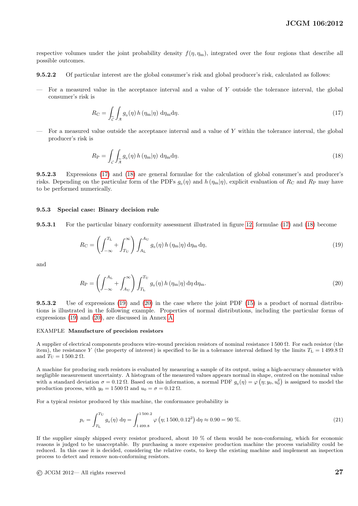respective volumes under the joint probability density  $f(\eta, \eta_m)$ , integrated over the four regions that describe all possible outcomes.

- 9.5.2.2 Of particular interest are the global consumer's risk and global producer's risk, calculated as follows:
- $-$  For a measured value in the acceptance interval and a value of Y outside the tolerance interval, the global consumer's risk is

<span id="page-35-1"></span>
$$
R_{\rm C} = \int_{\widetilde{C}} \int_{A} g_{0}(\eta) \, h\left(\eta_{\rm m}|\eta\right) \, \mathrm{d}\eta_{\rm m} \mathrm{d}\eta. \tag{17}
$$

For a measured value outside the acceptance interval and a value of  $Y$  within the tolerance interval, the global producer's risk is

<span id="page-35-2"></span>
$$
R_{\rm P} = \int_{\mathcal{C}} \int_{\widetilde{\mathcal{A}}} g_0(\eta) \, h(\eta_{\rm m}|\eta) \, \mathrm{d}\eta_{\rm m} \mathrm{d}\eta. \tag{18}
$$

9.5.2.3 Expressions [\(17\)](#page-35-1) and [\(18\)](#page-35-2) are general formulae for the calculation of global consumer's and producer's risks. Depending on the particular form of the PDFs  $g_0(\eta)$  and  $h(\eta_m|\eta)$ , explicit evaluation of  $R_{\rm C}$  and  $R_{\rm P}$  may have to be performed numerically.

#### <span id="page-35-0"></span>9.5.3 Special case: Binary decision rule

9.5.3.1 For the particular binary conformity assessment illustrated in figure [12,](#page-32-3) formulae [\(17\)](#page-35-1) and [\(18\)](#page-35-2) become

<span id="page-35-3"></span>
$$
R_{\rm C} = \left(\int_{-\infty}^{T_{\rm L}} + \int_{T_{\rm U}}^{\infty}\right) \int_{A_{\rm L}}^{A_{\rm U}} g_{\rm o}(\eta) h(\eta_{\rm m}|\eta) d\eta_{\rm m} d\eta, \tag{19}
$$

and

<span id="page-35-4"></span>
$$
R_{\rm P} = \left(\int_{-\infty}^{A_{\rm L}} + \int_{A_{\rm U}}^{\infty}\right) \int_{T_{\rm L}}^{T_{\rm U}} g_{\rm o}(\eta) h(\eta_{\rm m}|\eta) d\eta d\eta_{\rm m}.
$$
\n(20)

9.5.3.2 Use of expressions [\(19\)](#page-35-3) and [\(20\)](#page-35-4) in the case where the joint PDF [\(15\)](#page-34-5) is a product of normal distributions is illustrated in the following example. Properties of normal distributions, including the particular forms of expressions [\(19\)](#page-35-3) and [\(20\)](#page-35-4), are discussed in Annex [A.](#page-42-0)

#### EXAMPLE Manufacture of precision resistors

A supplier of electrical components produces wire-wound precision resistors of nominal resistance 1 500 Ω. For each resistor (the item), the resistance Y (the property of interest) is specified to lie in a tolerance interval defined by the limits  $T_L = 1\,499.8 \Omega$ and  $T_U = 1500.2 \Omega$ .

A machine for producing such resistors is evaluated by measuring a sample of its output, using a high-accuracy ohmmeter with negligible measurement uncertainty. A histogram of the measured values appears normal in shape, centred on the nominal value with a standard deviation  $\sigma = 0.12 \Omega$ . Based on this information, a normal PDF  $g_0(\eta) = \varphi(\eta; y_0, u_0^2)$  is assigned to model the production process, with  $y_0 = 1500 \Omega$  and  $u_0 = \sigma = 0.12 \Omega$ .

For a typical resistor produced by this machine, the conformance probability is

<span id="page-35-5"></span>
$$
p_{\rm c} = \int_{T_{\rm L}}^{T_{\rm U}} g_{\rm 0}(\eta) \, \mathrm{d}\eta = \int_{1}^{1500.2} \varphi \left( \eta; 1500, 0.12^2 \right) \mathrm{d}\eta \approx 0.90 = 90 \, \%. \tag{21}
$$

If the supplier simply shipped every resistor produced, about 10 % of them would be non-conforming, which for economic reasons is judged to be unacceptable. By purchasing a more expensive production machine the process variability could be reduced. In this case it is decided, considering the relative costs, to keep the existing machine and implement an inspection process to detect and remove non-conforming resistors.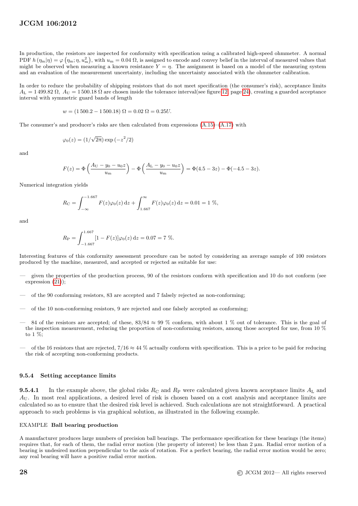In production, the resistors are inspected for conformity with specification using a calibrated high-speed ohmmeter. A normal PDF  $h(\eta_m|\eta) = \varphi(\eta_m; \eta, u_m^2)$ , with  $u_m = 0.04 \Omega$ , is assigned to encode and convey belief in the interval of measured values that might be observed when measuring a known resistance  $Y = \eta$ . The assignment is based on a model of the measuring system and an evaluation of the measurement uncertainty, including the uncertainty associated with the ohmmeter calibration.

In order to reduce the probability of shipping resistors that do not meet specification (the consumer's risk), acceptance limits  $A_{\text{L}} = 1499.82 \Omega$ ,  $A_{\text{U}} = 1500.18 \Omega$  are chosen inside the tolerance interval (see figure [12,](#page-32-3) page [24\)](#page-32-3), creating a guarded acceptance interval with symmetric guard bands of length

$$
w = (1\,500.2 - 1\,500.18) \Omega = 0.02 \Omega = 0.25U.
$$

The consumer's and producer's risks are then calculated from expressions  $(A.15)$ – $(A.17)$  with

$$
\varphi_0(z)=(1/\sqrt{2\pi})\exp{(-z^2/2)}
$$

and

$$
F(z) = \Phi\left(\frac{A_U - y_0 - u_0 z}{u_m}\right) - \Phi\left(\frac{A_L - y_0 - u_0 z}{u_m}\right) = \Phi(4.5 - 3z) - \Phi(-4.5 - 3z).
$$

Numerical integration yields

$$
R_{\rm C} = \int_{-\infty}^{-1.667} F(z)\varphi_0(z) dz + \int_{1.667}^{\infty} F(z)\varphi_0(z) dz = 0.01 = 1 \%,
$$

and

$$
R_{\rm P} = \int_{-1.667}^{1.667} [1 - F(z)] \varphi_0(z) \, \mathrm{d}z = 0.07 = 7 \, \, \%
$$

Interesting features of this conformity assessment procedure can be noted by considering an average sample of 100 resistors produced by the machine, measured, and accepted or rejected as suitable for use:

- given the properties of the production process, 90 of the resistors conform with specification and 10 do not conform (see expression  $(21)$ ;
- of the 90 conforming resistors, 83 are accepted and 7 falsely rejected as non-conforming;
- of the 10 non-conforming resistors, 9 are rejected and one falsely accepted as conforming;
- 84 of the resistors are accepted; of these,  $83/84 \approx 99\%$  conform, with about 1 % out of tolerance. This is the goal of the inspection measurement, reducing the proportion of non-conforming resistors, among those accepted for use, from 10 % to 1 %;
- of the 16 resistors that are rejected,  $7/16 \approx 44\%$  actually conform with specification. This is a price to be paid for reducing the risk of accepting non-conforming products.

#### <span id="page-36-0"></span>9.5.4 Setting acceptance limits

**9.5.4.1** In the example above, the global risks  $R_{\rm C}$  and  $R_{\rm P}$  were calculated given known acceptance limits  $A_{\rm L}$  and AU. In most real applications, a desired level of risk is chosen based on a cost analysis and acceptance limits are calculated so as to ensure that the desired risk level is achieved. Such calculations are not straightforward. A practical approach to such problems is via graphical solution, as illustrated in the following example.

#### EXAMPLE Ball bearing production

A manufacturer produces large numbers of precision ball bearings. The performance specification for these bearings (the items) requires that, for each of them, the radial error motion (the property of interest) be less than 2 µm. Radial error motion of a bearing is undesired motion perpendicular to the axis of rotation. For a perfect bearing, the radial error motion would be zero; any real bearing will have a positive radial error motion.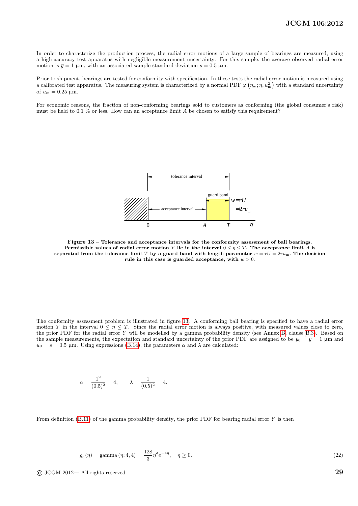In order to characterize the production process, the radial error motions of a large sample of bearings are measured, using a high-accuracy test apparatus with negligible measurement uncertainty. For this sample, the average observed radial error motion is  $\bar{y} = 1 \mu m$ , with an associated sample standard deviation  $s = 0.5 \mu m$ .

Prior to shipment, bearings are tested for conformity with specification. In these tests the radial error motion is measured using a calibrated test apparatus. The measuring system is characterized by a normal PDF  $\varphi\left(\eta_m;\eta,u_m^2\right)$  with a standard uncertainty of  $u_{\rm m} = 0.25 \,\rm \mu m$ .

<span id="page-37-0"></span>For economic reasons, the fraction of non-conforming bearings sold to customers as conforming (the global consumer's risk) must be held to 0.1 % or less. How can an acceptance limit  $\overline{A}$  be chosen to satisfy this requirement?



Figure 13 – Tolerance and acceptance intervals for the conformity assessment of ball bearings. Permissible values of radial error motion Y lie in the interval  $0 \le \eta \le T$ . The acceptance limit A is separated from the tolerance limit T by a guard band with length parameter  $w = rU = 2ru_m$ . The decision rule in this case is guarded acceptance, with  $w > 0$ .

The conformity assessment problem is illustrated in figure [13.](#page-37-0) A conforming ball bearing is specified to have a radial error motion Y in the interval  $0 \leq \eta \leq T$ . Since the radial error motion is always positive, with measured values close to zero, the prior PDF for the radial error Y will be modelled by a gamma probability density (see Annex [B,](#page-47-0) clause [B.3\)](#page-49-0). Based on the sample measurements, the expectation and standard uncertainty of the prior PDF are assigned to be  $y_0 = \overline{y} = 1 \ \mu m$  and  $u_0 = s = 0.5$  µm. Using expressions [\(B.14\)](#page-51-0), the parameters  $\alpha$  and  $\lambda$  are calculated:

$$
\alpha = \frac{1^2}{(0.5)^2} = 4, \qquad \lambda = \frac{1}{(0.5)^2} = 4.
$$

From definition  $(B.11)$  of the gamma probability density, the prior PDF for bearing radial error Y is then

<span id="page-37-1"></span>
$$
g_0(\eta) = \text{gamma}(\eta; 4, 4) = \frac{128}{3} \eta^3 e^{-4\eta}, \quad \eta \ge 0. \tag{22}
$$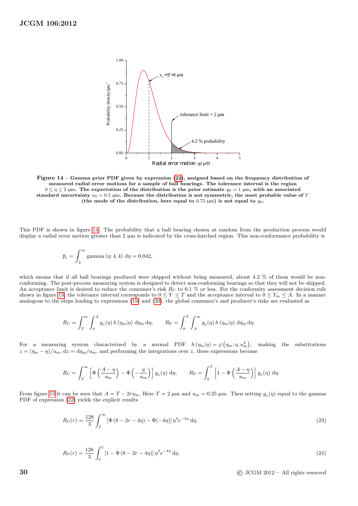<span id="page-38-0"></span>

Figure 14 – Gamma prior PDF given by expression [\(22\)](#page-37-1), assigned based on the frequency distribution of measured radial error motions for a sample of ball bearings. The tolerance interval is the region  $0 \le \eta \le 2$  µm. The expectation of the distribution is the prior estimate  $y_0 = 1$  µm, with an associated standard uncertainty  $u_0 = 0.5$  µm. Because the distribution is not symmetric, the most probable value of Y (the mode of the distribution, here equal to 0.75  $\mu$ m) is not equal to  $y_0$ .

This PDF is shown in figure [14.](#page-38-0) The probability that a ball bearing chosen at random from the production process would display a radial error motion greater than 2  $\mu$ m is indicated by the cross-hatched region. This non-conformance probability is

$$
\overline{p}_{\rm c} = \int_2^\infty \mathrm{gamma}\left(\eta; 4, 4\right) \,\mathrm{d}\eta = 0.042,
$$

which means that if all ball bearings produced were shipped without being measured, about 4.2 % of them would be nonconforming. The post-process measuring system is designed to detect non-conforming bearings so that they will not be shipped. An acceptance limit is desired to reduce the consumer's risk  $R_C$  to 0.1 % or less. For the conformity assessment decision rule shown in figure [13,](#page-37-0) the tolerance interval corresponds to  $0 \le Y \le T$  and the acceptance interval to  $0 \le Y_m \le A$ . In a manner analogous to the steps leading to expressions [\(19\)](#page-35-3) and [\(20\)](#page-35-4), the global consumer's and producer's risks are evaluated as

$$
R_{\rm C} = \int_T^{\infty} \int_0^A g_0(\eta) h(\eta_m|\eta) d\eta_m d\eta, \qquad R_{\rm P} = \int_0^T \int_A^{\infty} g_0(\eta) h(\eta_m|\eta) d\eta_m d\eta.
$$

For a measuring system characterized by a normal PDF  $h(\eta_m|\eta) = \varphi(\eta_m;\eta,u_m^2)$ , making the substitutions  $z = (\eta_{\rm m} - \eta)/u_{\rm m}$ ,  $dz = d\eta_{\rm m}/u_{\rm m}$ , and performing the integrations over z, these expressions become

$$
R_{\rm C} = \int_{T}^{\infty} \left[ \Phi\left(\frac{A-\eta}{u_{\rm m}}\right) - \Phi\left(-\frac{\eta}{u_{\rm m}}\right) \right] g_{\rm 0}(\eta) \, d\eta, \qquad R_{\rm P} = \int_{0}^{T} \left[1 - \Phi\left(\frac{A-\eta}{u_{\rm m}}\right) \right] g_{\rm 0}(\eta) \, d\eta.
$$

From figure [13](#page-37-0) it can be seen that  $A = T - 2ru_m$ . Here  $T = 2 \mu m$  and  $u_m = 0.25 \mu m$ . Then setting  $g_0(\eta)$  equal to the gamma PDF of expression [\(22\)](#page-37-1) yields the explicit results

<span id="page-38-1"></span>
$$
R_{\rm C}(r) = \frac{128}{3} \int_2^{\infty} \left[ \Phi \left( 8 - 2r - 4\eta \right) - \Phi(-4\eta) \right] \eta^3 e^{-4\eta} d\eta,
$$
\n(23)

<span id="page-38-2"></span>
$$
R_{\rm P}(r) = \frac{128}{3} \int_0^2 \left[1 - \Phi \left(8 - 2r - 4\eta\right)\right] \eta^3 e^{-4\eta} d\eta. \tag{24}
$$

30 © JCGM 2012— All rights reserved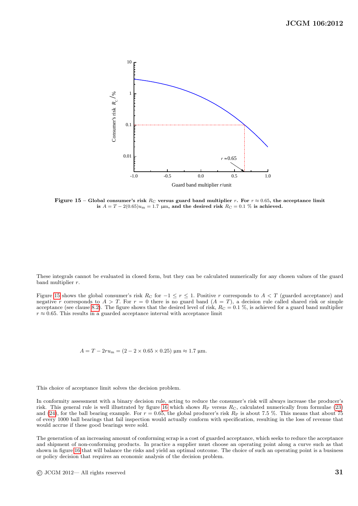<span id="page-39-0"></span>

Figure 15 – Global consumer's risk R<sub>C</sub> versus guard band multiplier r. For  $r \approx 0.65$ , the acceptance limit is  $A = T - 2(0.65)u_m = 1.7 \mu m$ , and the desired risk  $R_C = 0.1 \%$  is achieved.

These integrals cannot be evaluated in closed form, but they can be calculated numerically for any chosen values of the guard band multiplier r.

Figure [15](#page-39-0) shows the global consumer's risk R<sub>C</sub> for  $-1 \le r \le 1$ . Positive r corresponds to  $A < T$  (guarded acceptance) and negative r corresponds to  $A > T$ . For  $r = 0$  there is no guard band  $(A = T)$ , a decision rule called shared risk or simple acceptance (see clause [8.2\)](#page-27-2). The figure shows that the desired level of risk,  $R<sub>C</sub> = 0.1$ %, is achieved for a guard band multiplier  $r \approx 0.65$ . This results in a guarded acceptance interval with acceptance limit

$$
A = T - 2ru_{\rm m} = (2 - 2 \times 0.65 \times 0.25) \, \mu \text{m} \approx 1.7 \, \mu \text{m}.
$$

This choice of acceptance limit solves the decision problem.

In conformity assessment with a binary decision rule, acting to reduce the consumer's risk will always increase the producer's risk. This general rule is well illustrated by figure [16](#page-40-1) which shows  $R_P$  versus  $R_C$ , calculated numerically from formulae [\(23\)](#page-38-1) and [\(24\)](#page-38-2), for the ball bearing example. For  $r = 0.65$ , the global producer's risk  $R_P$  is about 7.5 %. This means that about 75 of every 1000 ball bearings that fail inspection would actually conform with specification, resulting in the loss of revenue that would accrue if these good bearings were sold.

The generation of an increasing amount of conforming scrap is a cost of guarded acceptance, which seeks to reduce the acceptance and shipment of non-conforming products. In practice a supplier must choose an operating point along a curve such as that shown in figure [16](#page-40-1) that will balance the risks and yield an optimal outcome. The choice of such an operating point is a business or policy decision that requires an economic analysis of the decision problem.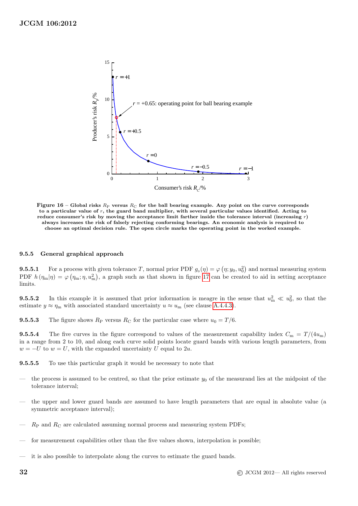<span id="page-40-1"></span>

Figure 16 – Global risks  $R_P$  versus  $R_C$  for the ball bearing example. Any point on the curve corresponds to a particular value of r, the guard band multiplier, with several particular values identified. Acting to reduce consumer's risk by moving the acceptance limit farther inside the tolerance interval (increasing  $r$ ) always increases the risk of falsely rejecting conforming bearings. An economic analysis is required to choose an optimal decision rule. The open circle marks the operating point in the worked example.

#### <span id="page-40-0"></span>9.5.5 General graphical approach

**9.5.5.1** For a process with given tolerance T, normal prior PDF  $g_0(\eta) = \varphi(\eta; y_0, u_0^2)$  and normal measuring system PDF  $h(\eta_{m}|\eta) = \varphi(\eta_{m}; \eta, u_{m}^{2}),$  a graph such as that shown in figure [17](#page-41-1) can be created to aid in setting acceptance limits.

**9.5.5.2** In this example it is assumed that prior information is meagre in the sense that  $u_m^2 \ll u_0^2$ , so that the estimate  $y \approx \eta_m$  with associated standard uncertainty  $u \approx u_m$  (see clause [A.4.4.3\)](#page-45-1).

**9.5.5.3** The figure shows  $R_P$  versus  $R_C$  for the particular case where  $u_0 = T/6$ .

**9.5.5.4** The five curves in the figure correspond to values of the measurement capability index  $C_m = T/(4u_m)$ in a range from 2 to 10, and along each curve solid points locate guard bands with various length parameters, from  $w = -U$  to  $w = U$ , with the expanded uncertainty U equal to 2u.

9.5.5.5 To use this particular graph it would be necessary to note that

- the process is assumed to be centred, so that the prior estimate  $y_0$  of the measurand lies at the midpoint of the tolerance interval;
- the upper and lower guard bands are assumed to have length parameters that are equal in absolute value (a symmetric acceptance interval);
- $R_P$  and  $R_C$  are calculated assuming normal process and measuring system PDFs;
- for measurement capabilities other than the five values shown, interpolation is possible;
- it is also possible to interpolate along the curves to estimate the guard bands.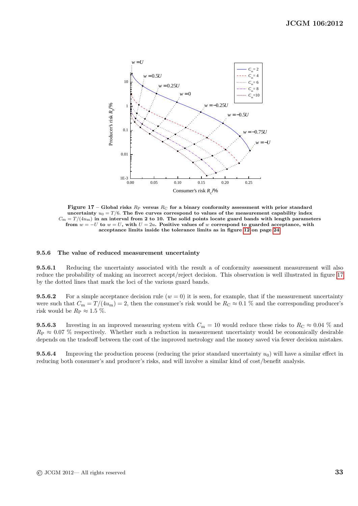<span id="page-41-1"></span>

Figure 17 – Global risks  $R_P$  versus  $R_C$  for a binary conformity assessment with prior standard uncertainty  $u_0 = T/6$ . The five curves correspond to values of the measurement capability index  $C_m = T/(4u_m)$  in an interval from 2 to 10. The solid points locate guard bands with length parameters from  $w = -U$  to  $w = U$ , with  $U = 2u$ . Positive values of w correspond to guarded acceptance, with acceptance limits inside the tolerance limits as in figure [12](#page-32-3) on page [24.](#page-32-3)

#### <span id="page-41-0"></span>9.5.6 The value of reduced measurement uncertainty

9.5.6.1 Reducing the uncertainty associated with the result a of conformity assessment measurement will also reduce the probability of making an incorrect accept/reject decision. This observation is well illustrated in figure [17](#page-41-1) by the dotted lines that mark the loci of the various guard bands.

**9.5.6.2** For a simple acceptance decision rule  $(w = 0)$  it is seen, for example, that if the measurement uncertainty were such that  $C_m = T/(4u_m) = 2$ , then the consumer's risk would be  $R_C \approx 0.1$  % and the corresponding producer's risk would be  $R_P \approx 1.5$  %.

9.5.6.3 Investing in an improved measuring system with  $C_m = 10$  would reduce these risks to  $R_C \approx 0.04\%$  and  $R_P \approx 0.07$  % respectively. Whether such a reduction in measurement uncertainty would be economically desirable depends on the tradeoff between the cost of the improved metrology and the money saved via fewer decision mistakes.

**9.5.6.4** Improving the production process (reducing the prior standard uncertainty  $u_0$ ) will have a similar effect in reducing both consumer's and producer's risks, and will involve a similar kind of cost/benefit analysis.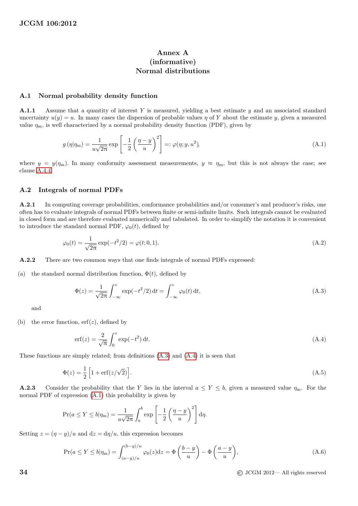# Annex A (informative) Normal distributions

#### <span id="page-42-1"></span><span id="page-42-0"></span>A.1 Normal probability density function

A.1.1 Assume that a quantity of interest Y is measured, yielding a best estimate y and an associated standard uncertainty  $u(y) = u$ . In many cases the dispersion of probable values  $\eta$  of Y about the estimate y, given a measured value  $\eta_m$ , is well characterized by a normal probability density function (PDF), given by

<span id="page-42-5"></span>
$$
g(\eta|\eta_{\mathbf{m}}) = \frac{1}{u\sqrt{2\pi}} \exp\left[-\frac{1}{2}\left(\frac{\eta - y}{u}\right)^2\right] =: \varphi(\eta; y, u^2),\tag{A.1}
$$

where  $y = y(\eta_m)$ . In many conformity assessment measurements,  $y \approx \eta_m$ , but this is not always the case; see clause [A.4.4.](#page-44-0)

#### <span id="page-42-2"></span>A.2 Integrals of normal PDFs

A.2.1 In computing coverage probabilities, conformance probabilities and/or consumer's and producer's risks, one often has to evaluate integrals of normal PDFs between finite or semi-infinite limits. Such integrals cannot be evaluated in closed form and are therefore evaluated numerically and tabulated. In order to simplify the notation it is convenient to introduce the standard normal PDF,  $\varphi_0(t)$ , defined by

<span id="page-42-6"></span>
$$
\varphi_0(t) = \frac{1}{\sqrt{2\pi}} \exp(-t^2/2) = \varphi(t; 0, 1). \tag{A.2}
$$

A.2.2 There are two common ways that one finds integrals of normal PDFs expressed:

(a) the standard normal distribution function,  $\Phi(t)$ , defined by

<span id="page-42-3"></span>
$$
\Phi(z) = \frac{1}{\sqrt{2\pi}} \int_{-\infty}^{z} \exp(-t^2/2) dt = \int_{-\infty}^{z} \varphi_0(t) dt,
$$
\n(A.3)

and

(b) the error function,  $erf(z)$ , defined by

<span id="page-42-4"></span>
$$
\operatorname{erf}(z) = \frac{2}{\sqrt{\pi}} \int_0^z \exp(-t^2) \, \mathrm{d}t. \tag{A.4}
$$

These functions are simply related; from definitions [\(A.3\)](#page-42-3) and [\(A.4\)](#page-42-4) it is seen that

$$
\Phi(z) = \frac{1}{2} \left[ 1 + \text{erf}(z/\sqrt{2}) \right]. \tag{A.5}
$$

**A.2.3** Consider the probability that the Y lies in the interval  $a \le Y \le b$ , given a measured value  $\eta_m$ . For the normal PDF of expression [\(A.1\)](#page-42-5) this probability is given by

$$
\Pr(a \le Y \le b | \eta_m) = \frac{1}{u\sqrt{2\pi}} \int_a^b \exp\left[ -\frac{1}{2} \left( \frac{\eta - y}{u} \right)^2 \right] d\eta.
$$

Setting  $z = (\eta - y)/u$  and  $dz = d\eta/u$ , this expression becomes

<span id="page-42-7"></span>
$$
\Pr(a \le Y \le b | \eta_m) = \int_{(a-y)/u}^{(b-y)/u} \varphi_0(z) dz = \Phi\left(\frac{b-y}{u}\right) - \Phi\left(\frac{a-y}{u}\right),\tag{A.6}
$$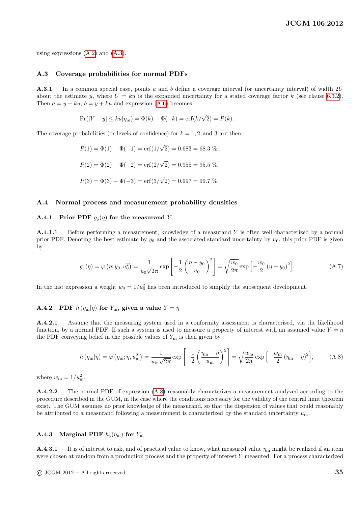using expressions  $(A.2)$  and  $(A.3)$ .

#### <span id="page-43-0"></span>A.3 Coverage probabilities for normal PDFs

A.3.1 In a common special case, points a and b define a coverage interval (or uncertainty interval) of width 2U about the estimate y, where  $U = ku$  is the expanded uncertainty for a stated coverage factor k (see clause [6.3.2\)](#page-20-0). Then  $a = y - ku$ ,  $b = y + ku$  and expression [\(A.6\)](#page-42-7) becomes

$$
Pr(|Y - y| \leq ku|\eta_m) = \Phi(k) - \Phi(-k) = erf(k/\sqrt{2}) = P(k).
$$

The coverage probabilities (or levels of confidence) for  $k = 1, 2,$  and 3 are then:

$$
P(1) = \Phi(1) - \Phi(-1) = \text{erf}(1/\sqrt{2}) = 0.683 = 68.3 \%,
$$
  

$$
P(2) = \Phi(2) - \Phi(-2) = \text{erf}(2/\sqrt{2}) = 0.955 = 95.5 \%,
$$
  

$$
P(3) = \Phi(3) - \Phi(-3) = \text{erf}(3/\sqrt{2}) = 0.997 = 99.7 \%.
$$

#### <span id="page-43-2"></span><span id="page-43-1"></span>A.4 Normal process and measurement probability densities

### **A.4.1** Prior PDF  $g_0(\eta)$  for the measurand Y

A.4.1.1 Before performing a measurement, knowledge of a measurand Y is often well characterized by a normal prior PDF. Denoting the best estimate by  $y_0$  and the associated standard uncertainty by  $u_0$ , this prior PDF is given by

<span id="page-43-6"></span>
$$
g_0(\eta) = \varphi(\eta; y_0, u_0^2) = \frac{1}{u_0 \sqrt{2\pi}} \exp\left[ -\frac{1}{2} \left( \frac{\eta - y_0}{u_0} \right)^2 \right] = \sqrt{\frac{w_0}{2\pi}} \exp\left[ -\frac{w_0}{2} (\eta - y_0)^2 \right].
$$
 (A.7)

In the last expression a weight  $w_0 = 1/u_0^2$  has been introduced to simplify the subsequent development.

### <span id="page-43-3"></span>**A.4.2** PDF  $h(\eta_m|\eta)$  for  $Y_m$ , given a value  $Y = \eta$

A.4.2.1 Assume that the measuring system used in a conformity assessment is characterised, via the likelihood function, by a normal PDF. If such a system is used to measure a property of interest with an assumed value  $Y = \eta$ the PDF conveying belief in the possible values of  $Y_m$  is then given by

<span id="page-43-5"></span>
$$
h(\eta_{\rm m}|\eta) = \varphi\left(\eta_{\rm m};\eta, u_{\rm m}^2\right) = \frac{1}{u_{\rm m}\sqrt{2\pi}} \exp\left[-\frac{1}{2}\left(\frac{\eta_{\rm m}-\eta}{u_{\rm m}}\right)^2\right] = \sqrt{\frac{w_{\rm m}}{2\pi}} \exp\left[-\frac{w_{\rm m}}{2}\left(\eta_{\rm m}-\eta\right)^2\right],\tag{A.8}
$$

where  $w_m = 1/u_m^2$ .

A.4.2.2 The normal PDF of expression [\(A.8\)](#page-43-5) reasonably characterizes a measurement analyzed according to the procedure described in the GUM, in the case where the conditions necessary for the validity of the central limit theorem exist. The GUM assumes no prior knowledge of the measurand, so that the dispersion of values that could reasonably be attributed to a measurand following a measurement is characterized by the standard uncertainty  $u_{\rm m}$ .

### <span id="page-43-4"></span>**A.4.3** Marginal PDF  $h_0(\eta_m)$  for  $Y_m$

**A.4.3.1** It is of interest to ask, and of practical value to know, what measured value  $\eta_m$  might be realized if an item were chosen at random from a production process and the property of interest Y measured. For a process characterized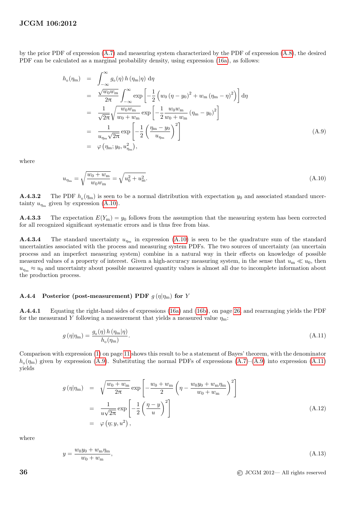by the prior PDF of expression [\(A.7\)](#page-43-6) and measuring system characterized by the PDF of expression [\(A.8\)](#page-43-5), the desired PDF can be calculated as a marginal probability density, using expression [\(16a\)](#page-34-3), as follows:

<span id="page-44-2"></span>
$$
h_{o}(\eta_{m}) = \int_{-\infty}^{\infty} g_{o}(\eta) h(\eta_{m}|\eta) d\eta
$$
  
\n
$$
= \frac{\sqrt{w_{0}w_{m}}}{2\pi} \int_{-\infty}^{\infty} \exp\left[-\frac{1}{2} \left(w_{0} (\eta - y_{0})^{2} + w_{m} (\eta_{m} - \eta)^{2}\right)\right] d\eta
$$
  
\n
$$
= \frac{1}{\sqrt{2\pi}} \sqrt{\frac{w_{0}w_{m}}{w_{0} + w_{m}}} \exp\left[-\frac{1}{2} \frac{w_{0}w_{m}}{w_{0} + w_{m}} (\eta_{m} - y_{0})^{2}\right]
$$
  
\n
$$
= \frac{1}{u_{\eta_{m}} \sqrt{2\pi}} \exp\left[-\frac{1}{2} \left(\frac{\eta_{m} - y_{0}}{u_{\eta_{m}}}\right)^{2}\right]
$$
  
\n
$$
= \varphi (\eta_{m}; y_{0}, u_{\eta_{m}}^{2}), \qquad (A.9)
$$

where

<span id="page-44-1"></span>
$$
u_{\eta_{\rm m}} = \sqrt{\frac{w_0 + w_{\rm m}}{w_0 w_{\rm m}}} = \sqrt{u_0^2 + u_{\rm m}^2}.\tag{A.10}
$$

**A.4.3.2** The PDF  $h_0(\eta_m)$  is seen to be a normal distribution with expectation  $y_0$  and associated standard uncertainty  $u_{\eta_m}$  given by expression [\(A.10\)](#page-44-1).

**A.4.3.3** The expectation  $E(Y_m) = y_0$  follows from the assumption that the measuring system has been corrected for all recognized significant systematic errors and is thus free from bias.

**A.4.3.4** The standard uncertainty  $u_{\eta_m}$  in expression [\(A.10\)](#page-44-1) is seen to be the quadrature sum of the standard uncertainties associated with the process and measuring system PDFs. The two sources of uncertainty (an uncertain process and an imperfect measuring system) combine in a natural way in their effects on knowledge of possible measured values of a property of interest. Given a high-accuracy measuring system, in the sense that  $u_m \ll u_0$ , then  $u_{n_m} \approx u_0$  and uncertainty about possible measured quantity values is almost all due to incomplete information about the production process.

#### <span id="page-44-0"></span>A.4.4 Posterior (post-measurement) PDF  $g(\eta|\eta_m)$  for Y

A.4.4.1 Equating the right-hand sides of expressions [\(16a\)](#page-34-3) and [\(16b\)](#page-34-4), on page [26,](#page-34-6) and rearranging yields the PDF for the measurand Y following a measurement that yields a measured value  $\eta_m$ .

<span id="page-44-3"></span>
$$
g\left(\eta|\eta_{\rm m}\right) = \frac{g_0(\eta) h\left(\eta_{\rm m}|\eta\right)}{h_0(\eta_{\rm m})}.\tag{A.11}
$$

Comparison with expression [\(1\)](#page-19-2) on page [11](#page-19-2) shows this result to be a statement of Bayes' theorem, with the denominator  $h_{\text{o}}(\eta_{\text{m}})$  given by expression [\(A.9\)](#page-44-2). Substituting the normal PDFs of expressions [\(A.7\)](#page-43-6)–[\(A.9\)](#page-44-2) into expression [\(A.11\)](#page-44-3) yields

<span id="page-44-4"></span>
$$
g(\eta|\eta_{\rm m}) = \sqrt{\frac{w_0 + w_{\rm m}}{2\pi}} \exp\left[-\frac{w_0 + w_{\rm m}}{2} \left(\eta - \frac{w_0 y_0 + w_{\rm m} \eta_{\rm m}}{w_0 + w_{\rm m}}\right)^2\right]
$$
  

$$
= \frac{1}{u\sqrt{2\pi}} \exp\left[-\frac{1}{2} \left(\frac{\eta - y}{u}\right)^2\right]
$$
  

$$
= \varphi(\eta; y, u^2), \tag{A.12}
$$

where

<span id="page-44-5"></span>
$$
y = \frac{w_0 y_0 + w_m \eta_m}{w_0 + w_m},\tag{A.13}
$$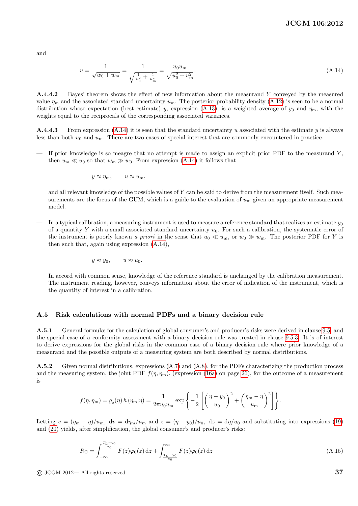and

<span id="page-45-3"></span>
$$
u = \frac{1}{\sqrt{w_0 + w_m}} = \frac{1}{\sqrt{\frac{1}{u_0^2} + \frac{1}{u_m^2}}} = \frac{u_0 u_m}{\sqrt{u_0^2 + u_m^2}}.
$$
\n(A.14)

A.4.4.2 Bayes' theorem shows the effect of new information about the measurand Y conveyed by the measured value  $\eta_m$  and the associated standard uncertainty  $u_m$ . The posterior probability density [\(A.12\)](#page-44-4) is seen to be a normal distribution whose expectation (best estimate) y, expression [\(A.13\)](#page-44-5), is a weighted average of  $y_0$  and  $\eta_m$ , with the weights equal to the reciprocals of the corresponding associated variances.

<span id="page-45-1"></span>**A.4.4.3** From expression [\(A.14\)](#page-45-3) it is seen that the standard uncertainty u associated with the estimate y is always less than both  $u_0$  and  $u_m$ . There are two cases of special interest that are commonly encountered in practice.

If prior knowledge is so meagre that no attempt is made to assign an explicit prior PDF to the measurand  $Y$ , then  $u_m \ll u_0$  so that  $w_m \gg w_0$ . From expression [\(A.14\)](#page-45-3) it follows that

$$
y \approx \eta_{\rm m}, \qquad u \approx u_{\rm m},
$$

and all relevant knowledge of the possible values of Y can be said to derive from the measurement itself. Such measurements are the focus of the GUM, which is a guide to the evaluation of  $u<sub>m</sub>$  given an appropriate measurement model.

In a typical calibration, a measuring instrument is used to measure a reference standard that realizes an estimate  $y_0$ of a quantity Y with a small associated standard uncertainty  $u_0$ . For such a calibration, the systematic error of the instrument is poorly known a priori in the sense that  $u_0 \ll u_m$ , or  $w_0 \gg w_m$ . The posterior PDF for Y is then such that, again using expression [\(A.14\)](#page-45-3),

$$
y \approx y_0, \qquad u \approx u_0.
$$

In accord with common sense, knowledge of the reference standard is unchanged by the calibration measurement. The instrument reading, however, conveys information about the error of indication of the instrument, which is the quantity of interest in a calibration.

#### <span id="page-45-0"></span>A.5 Risk calculations with normal PDFs and a binary decision rule

A.5.1 General formulæ for the calculation of global consumer's and producer's risks were derived in clause [9.5,](#page-34-0) and the special case of a conformity assessment with a binary decision rule was treated in clause [9.5.3.](#page-35-0) It is of interest to derive expressions for the global risks in the common case of a binary decision rule where prior knowledge of a measurand and the possible outputs of a measuring system are both described by normal distributions.

A.5.2 Given normal distributions, expressions [\(A.7\)](#page-43-6) and [\(A.8\)](#page-43-5), for the PDFs characterizing the production process and the measuring system, the joint PDF  $f(\eta, \eta_m)$ , (expression [\(16a\)](#page-34-3) on page [26\)](#page-34-3), for the outcome of a measurement is

$$
f(\eta, \eta_m) = g_0(\eta) h(\eta_m|\eta) = \frac{1}{2\pi u_0 u_m} \exp \left\{-\frac{1}{2} \left[ \left(\frac{\eta - y_0}{u_0}\right)^2 + \left(\frac{\eta_m - \eta}{u_m}\right)^2 \right] \right\}.
$$

Letting  $v = (\eta_m - \eta)/u_m$ ,  $dv = d\eta_m/u_m$  and  $z = (\eta - y_0)/u_0$ ,  $dz = d\eta/u_0$  and substituting into expressions [\(19\)](#page-35-3) and [\(20\)](#page-35-4) yields, after simplification, the global consumer's and producer's risks:

<span id="page-45-2"></span>
$$
R_{\rm C} = \int_{-\infty}^{\frac{T_{\rm L} - y_0}{u_0}} F(z)\varphi_0(z) dz + \int_{\frac{T_{\rm U} - y_0}{u_0}}^{\infty} F(z)\varphi_0(z) dz
$$
 (A.15)

 $\odot$  JCGM 2012— All rights reserved  $37$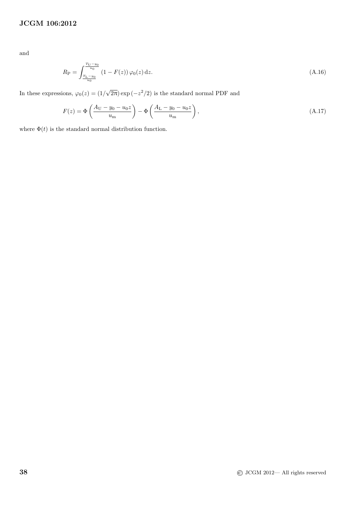and

$$
R_{\rm P} = \int_{\frac{T_{\rm L}-y_0}{u_0}}^{\frac{T_{\rm U}-y_0}{u_0}} (1 - F(z)) \,\varphi_0(z) \,\mathrm{d}z. \tag{A.16}
$$

In these expressions,  $\varphi_0(z) = (1/$ √  $(2\pi)$  exp  $(-z^2/2)$  is the standard normal PDF and

<span id="page-46-0"></span>
$$
F(z) = \Phi\left(\frac{A_U - y_0 - u_0 z}{u_m}\right) - \Phi\left(\frac{A_L - y_0 - u_0 z}{u_m}\right),
$$
\n(A.17)

where  $\Phi(t)$  is the standard normal distribution function.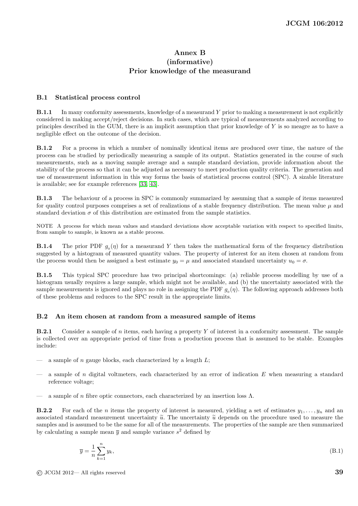# Annex B (informative) Prior knowledge of the measurand

### <span id="page-47-1"></span><span id="page-47-0"></span>B.1 Statistical process control

B.1.1 In many conformity assessments, knowledge of a measurand Y prior to making a measurement is not explicitly considered in making accept/reject decisions. In such cases, which are typical of measurements analyzed according to principles described in the GUM, there is an implicit assumption that prior knowledge of Y is so meagre as to have a negligible effect on the outcome of the decision.

B.1.2 For a process in which a number of nominally identical items are produced over time, the nature of the process can be studied by periodically measuring a sample of its output. Statistics generated in the course of such measurements, such as a moving sample average and a sample standard deviation, provide information about the stability of the process so that it can be adjusted as necessary to meet production quality criteria. The generation and use of measurement information in this way forms the basis of statistical process control (SPC). A sizable literature is available; see for example references [\[33,](#page-55-16) [43\]](#page-55-17).

B.1.3 The behaviour of a process in SPC is commonly summarized by assuming that a sample of items measured for quality control purposes comprises a set of realizations of a stable frequency distribution. The mean value  $\mu$  and standard deviation  $\sigma$  of this distribution are estimated from the sample statistics.

NOTE A process for which mean values and standard deviations show acceptable variation with respect to specified limits, from sample to sample, is known as a stable process.

**B.1.4** The prior PDF  $g_0(\eta)$  for a measurand Y then takes the mathematical form of the frequency distribution suggested by a histogram of measured quantity values. The property of interest for an item chosen at random from the process would then be assigned a best estimate  $y_0 = \mu$  and associated standard uncertainty  $u_0 = \sigma$ .

B.1.5 This typical SPC procedure has two principal shortcomings: (a) reliable process modelling by use of a histogram usually requires a large sample, which might not be available, and (b) the uncertainty associated with the sample measurements is ignored and plays no role in assigning the PDF  $g_0(\eta)$ . The following approach addresses both of these problems and reduces to the SPC result in the appropriate limits.

### <span id="page-47-2"></span>B.2 An item chosen at random from a measured sample of items

**B.2.1** Consider a sample of n items, each having a property Y of interest in a conformity assessment. The sample is collected over an appropriate period of time from a production process that is assumed to be stable. Examples include:

- a sample of n gauge blocks, each characterized by a length  $L$ ;
- a sample of n digital voltmeters, each characterized by an error of indication  $E$  when measuring a standard reference voltage;
- a sample of n fibre optic connectors, each characterized by an insertion loss  $\Lambda$ .

**B.2.2** For each of the n items the property of interest is measured, yielding a set of estimates  $y_1, \ldots, y_n$  and an associated standard measurement uncertainty  $\tilde{u}$ . The uncertainty  $\tilde{u}$  depends on the procedure used to measure the samples and is assumed to be the same for all of the measurements. The properties of the sample are then summarized by calculating a sample mean  $\bar{y}$  and sample variance  $s^2$  defined by

<span id="page-47-3"></span>
$$
\overline{y} = \frac{1}{n} \sum_{k=1}^{n} y_k,
$$
\n(B.1)

 $\odot$  JCGM 2012— All rights reserved  $39$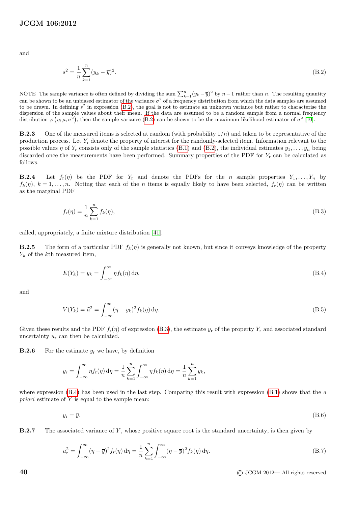and

<span id="page-48-0"></span>
$$
s^{2} = \frac{1}{n} \sum_{k=1}^{n} (y_{k} - \overline{y})^{2}.
$$
 (B.2)

NOTE The sample variance is often defined by dividing the sum  $\sum_{k=1}^{n} (y_k - \overline{y})^2$  by  $n-1$  rather than n. The resulting quantity can be shown to be an unbiased estimator of the variance  $\sigma^2$  of a frequency distribution from which the data samples are assumed to be drawn. In defining  $s^2$  in expression [\(B.2\)](#page-48-0), the goal is not to estimate an unknown variance but rather to characterise the dispersion of the sample values about their mean. If the data are assumed to be a random sample from a normal frequency distribution  $\varphi(\eta;\mu,\sigma^2)$ , then the sample variance [\(B.2\)](#page-48-0) can be shown to be the maximum likelihood estimator of  $\sigma^2$  [\[10\]](#page-54-22).

**B.2.3** One of the measured items is selected at random (with probability  $1/n$ ) and taken to be representative of the production process. Let  $Y_r$  denote the property of interest for the randomly-selected item. Information relevant to the possible values  $\eta$  of  $Y_r$  consists only of the sample statistics [\(B.1\)](#page-47-3) and [\(B.2\)](#page-48-0), the individual estimates  $y_1, \ldots, y_n$  being discarded once the measurements have been performed. Summary properties of the PDF for  $Y_r$  can be calculated as follows.

**B.2.4** Let  $f_r(\eta)$  be the PDF for  $Y_r$  and denote the PDFs for the n sample properties  $Y_1, \ldots, Y_n$  by  $f_k(\eta)$ ,  $k = 1, \ldots, n$ . Noting that each of the n items is equally likely to have been selected,  $f_r(\eta)$  can be written as the marginal PDF

<span id="page-48-1"></span>
$$
f_{\mathbf{r}}(\eta) = \frac{1}{n} \sum_{k=1}^{n} f_k(\eta),
$$
 (B.3)

called, appropriately, a finite mixture distribution [\[41\]](#page-55-18).

**B.2.5** The form of a particular PDF  $f_k(\eta)$  is generally not known, but since it conveys knowledge of the property  $Y_k$  of the k<sup>th</sup> measured item,

<span id="page-48-2"></span>
$$
E(Y_k) = y_k = \int_{-\infty}^{\infty} \eta f_k(\eta) d\eta,
$$
\n(B.4)

and

<span id="page-48-3"></span>
$$
V(Y_k) = \tilde{u}^2 = \int_{-\infty}^{\infty} (\eta - y_k)^2 f_k(\eta) d\eta.
$$
 (B.5)

Given these results and the PDF  $f_r(\eta)$  of expression [\(B.3\)](#page-48-1), the estimate  $y_r$  of the property  $Y_r$  and associated standard uncertainty  $u_r$  can then be calculated.

**B.2.6** For the estimate  $y_r$  we have, by definition

$$
y_{\rm r} = \int_{-\infty}^{\infty} \eta f_{\rm r}(\eta) d\eta = \frac{1}{n} \sum_{k=1}^{n} \int_{-\infty}^{\infty} \eta f_k(\eta) d\eta = \frac{1}{n} \sum_{k=1}^{n} y_k,
$$

where expression  $(B.4)$  has been used in the last step. Comparing this result with expression  $(B.1)$  shows that the a priori estimate of Y is equal to the sample mean:

<span id="page-48-5"></span>
$$
y_{\rm r} = \overline{y}.\tag{B.6}
$$

B.2.7 The associated variance of Y, whose positive square root is the standard uncertainty, is then given by

<span id="page-48-4"></span>
$$
u_{\rm r}^2 = \int_{-\infty}^{\infty} (\eta - \overline{y})^2 f_{\rm r}(\eta) d\eta = \frac{1}{n} \sum_{k=1}^n \int_{-\infty}^{\infty} (\eta - \overline{y})^2 f_k(\eta) d\eta.
$$
 (B.7)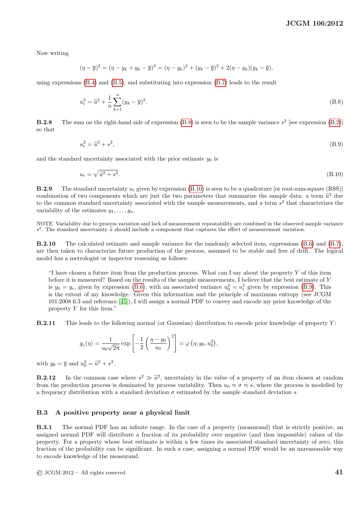Now writing

$$
(\eta - \overline{y})^2 = (\eta - y_k + y_k - \overline{y})^2 = (\eta - y_k)^2 + (y_k - \overline{y})^2 + 2(\eta - y_k)(y_k - \overline{y}),
$$

using expressions [\(B.4\)](#page-48-2) and [\(B.5\)](#page-48-3), and substituting into expression [\(B.7\)](#page-48-4) leads to the result

<span id="page-49-1"></span>
$$
u_{\rm r}^2 = \tilde{u}^2 + \frac{1}{n} \sum_{k=1}^n (y_k - \overline{y})^2.
$$
 (B.8)

**B.2.8** The sum on the right-hand side of expression [\(B.8\)](#page-49-1) is seen to be the sample variance  $s^2$  [see expression [\(B.2\)](#page-48-0)] so that

<span id="page-49-3"></span>
$$
u_{\rm r}^2 = \tilde{u}^2 + s^2,\tag{B.9}
$$

and the standard uncertainty associated with the prior estimate  $y_0$  is

<span id="page-49-2"></span>
$$
u_{\rm r} = \sqrt{\tilde{u}^2 + s^2}.\tag{B.10}
$$

**B.2.9** The standard uncertainty  $u_r$  given by expression  $(B.10)$  is seen to be a quadrature [or root-sum-square  $(RSS)$ ] combination of two components which are just the two parameters that summarize the sample data: a term  $\tilde{u}^2$  due<br>to the common standard uncertainty associated with the sample mossurements, and a term  $c^2$  that chara to the common standard uncertainty associated with the sample measurements, and a term  $s^2$  that characterizes the variability of the estimates  $y_1, \ldots, y_n$ .

NOTE Variability due to process variation and lack of measurement repeatability are combined in the observed sample variance  $s^2$ . The standard uncertainty  $\tilde{u}$  should include a component that captures the effect of measurement variation.

B.2.10 The calculated estimate and sample variance for the randomly selected item, expressions [\(B.6\)](#page-48-5) and [\(B.7\)](#page-48-4), are then taken to characterize future production of the process, assumed to be stable and free of drift. The logical model has a metrologist or inspector reasoning as follows:

"I have chosen a future item from the production process. What can I say about the property  $Y$  of this item before it is measured? Based on the results of the sample measurements, I believe that the best estimate of Y is  $y_0 = y_r$ , given by expression [\(B.6\)](#page-48-5), with an associated variance  $u_0^2 = u_r^2$  given by expression [\(B.9\)](#page-49-3). This is the extent of my knowledge. Given this information and the principle of maximum entropy (see JCGM 101:2008 6.3 and reference [\[45\]](#page-55-19)), I will assign a normal PDF to convey and encode my prior knowledge of the property  $Y$  for this item."

**B.2.11** This leads to the following normal (or Gaussian) distribution to encode prior knowledge of property Y:

$$
g_0(\eta) = \frac{1}{u_0\sqrt{2\pi}} \exp \left[ -\frac{1}{2} \left( \frac{\eta - y_0}{u_0} \right)^2 \right] = \varphi \left( \eta; y_0, u_0^2 \right),
$$

with  $y_0 = \overline{y}$  and  $u_0^2 = \tilde{u}^2 + s^2$ .

**B.2.12** In the common case where  $s^2 \gg \tilde{u}^2$ , uncertainty in the value of a property of an item chosen at random from the production process is deminated by process variability. Then  $u \approx \sigma \approx e$  where the process is m from the production process is dominated by process variability. Then  $u_0 \approx \sigma \approx s$ , where the process is modelled by a frequency distribution with a standard deviation  $\sigma$  estimated by the sample standard deviation s.

#### <span id="page-49-0"></span>B.3 A positive property near a physical limit

B.3.1 The normal PDF has an infinite range. In the case of a property (measurand) that is strictly positive, an assigned normal PDF will distribute a fraction of its probability over negative (and thus impossible) values of the property. For a property whose best estimate is within a few times its associated standard uncertainty of zero, this fraction of the probability can be significant. In such a case, assigning a normal PDF would be an unreasonable way to encode knowledge of the measurand.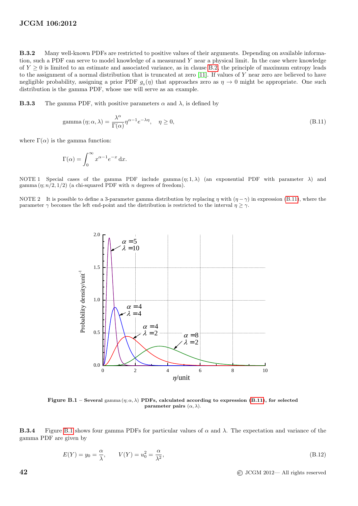B.3.2 Many well-known PDFs are restricted to positive values of their arguments. Depending on available information, such a PDF can serve to model knowledge of a measurand Y near a physical limit. In the case where knowledge of  $Y ">= 0$  is limited to an estimate and associated variance, as in clause [B.2,](#page-47-2) the principle of maximum entropy leads to the assignment of a normal distribution that is truncated at zero [\[11\]](#page-54-23). If values of Y near zero are believed to have negligible probability, assigning a prior PDF  $g_0(\eta)$  that approaches zero as  $\eta \to 0$  might be appropriate. One such distribution is the gamma PDF, whose use will serve as an example.

**B.3.3** The gamma PDF, with positive parameters  $\alpha$  and  $\lambda$ , is defined by

<span id="page-50-0"></span>
$$
gamma(\eta; \alpha, \lambda) = \frac{\lambda^{\alpha}}{\Gamma(\alpha)} \eta^{\alpha - 1} e^{-\lambda \eta}, \quad \eta \ge 0,
$$
\n(B.11)

where  $\Gamma(\alpha)$  is the gamma function:

$$
\Gamma(\alpha) = \int_0^\infty x^{\alpha - 1} e^{-x} \, \mathrm{d}x.
$$

NOTE 1 Special cases of the gamma PDF include gamma  $(\eta; 1, \lambda)$  (an exponential PDF with parameter  $\lambda$ ) and gamma  $(\eta; n/2, 1/2)$  (a chi-squared PDF with n degrees of freedom).

<span id="page-50-1"></span>NOTE 2 It is possible to define a 3-parameter gamma distribution by replacing  $\eta$  with  $(\eta - \gamma)$  in expression [\(B.11\)](#page-50-0), where the parameter  $\gamma$  becomes the left end-point and the distribution is restricted to the interval  $\eta \geq \gamma$ .



Figure B.1 – Several gamma  $(\eta, \alpha, \lambda)$  PDFs, calculated according to expression [\(B.11\)](#page-50-0), for selected parameter pairs  $(\alpha, \lambda)$ .

**B.3.4** Figure [B.1](#page-50-1) shows four gamma PDFs for particular values of  $\alpha$  and  $\lambda$ . The expectation and variance of the gamma PDF are given by

<span id="page-50-2"></span>
$$
E(Y) = y_0 = \frac{\alpha}{\lambda}, \qquad V(Y) = u_0^2 = \frac{\alpha}{\lambda^2},
$$
 (B.12)

 $\overline{42}$   $\sigma$  JCGM 2012— All rights reserved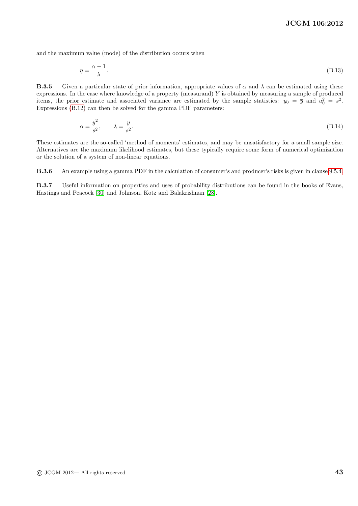and the maximum value (mode) of the distribution occurs when

$$
\eta = \frac{\alpha - 1}{\lambda}.\tag{B.13}
$$

**B.3.5** Given a particular state of prior information, appropriate values of  $\alpha$  and  $\lambda$  can be estimated using these expressions. In the case where knowledge of a property (measurand) Y is obtained by measuring a sample of produced items, the prior estimate and associated variance are estimated by the sample statistics:  $y_0 = \bar{y}$  and  $u_0^2 = s^2$ . Expressions [\(B.12\)](#page-50-2) can then be solved for the gamma PDF parameters:

<span id="page-51-0"></span>
$$
\alpha = \frac{\overline{y}^2}{s^2}, \qquad \lambda = \frac{\overline{y}}{s^2}.
$$
\n(B.14)

These estimates are the so-called 'method of moments' estimates, and may be unsatisfactory for a small sample size. Alternatives are the maximum likelihood estimates, but these typically require some form of numerical optimization or the solution of a system of non-linear equations.

B.3.6 An example using a gamma PDF in the calculation of consumer's and producer's risks is given in clause [9.5.4.](#page-36-0)

B.3.7 Useful information on properties and uses of probability distributions can be found in the books of Evans, Hastings and Peacock [\[30\]](#page-55-20) and Johnson, Kotz and Balakrishnan [\[28\]](#page-55-21).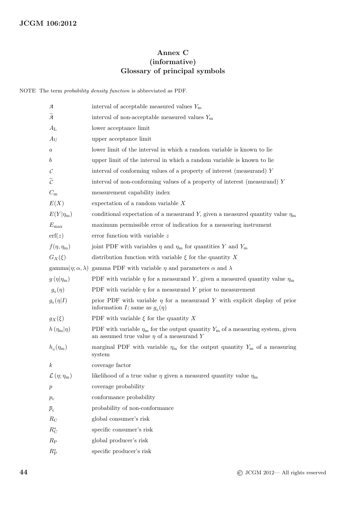# Annex C (informative) Glossary of principal symbols

<span id="page-52-0"></span>NOTE The term probability density function is abbreviated as PDF.

| Я                                            | interval of acceptable measured values $Y_{\rm m}$                                                                                     |
|----------------------------------------------|----------------------------------------------------------------------------------------------------------------------------------------|
| Я                                            | interval of non-acceptable measured values $Y_{\rm m}$                                                                                 |
| $A_{\mathrm{L}}$                             | lower acceptance limit                                                                                                                 |
| $A_{\rm U}$                                  | upper acceptance limit                                                                                                                 |
| $\boldsymbol{a}$                             | lower limit of the interval in which a random variable is known to lie                                                                 |
| $\boldsymbol{b}$                             | upper limit of the interval in which a random variable is known to lie                                                                 |
| $\mathcal{C}_{0}$                            | interval of conforming values of a property of interest (measurand) Y                                                                  |
| $\widetilde{C}$                              | interval of non-conforming values of a property of interest (measurand) Y                                                              |
| $C_{\rm m}$                                  | measurement capability index                                                                                                           |
| E(X)                                         | expectation of a random variable $X$                                                                                                   |
| $E(Y \eta_{\rm m})$                          | conditional expectation of a measurand Y, given a measured quantity value $\eta_m$                                                     |
| $E_{\rm max}$                                | maximum permissible error of indication for a measuring instrument                                                                     |
| $\text{erf}(z)$                              | error function with variable z                                                                                                         |
| $f(\eta, \eta_{\rm m})$                      | joint PDF with variables $\eta$ and $\eta_{\rm m}$ for quantities Y and Y <sub>m</sub>                                                 |
| $G_X(\xi)$                                   | distribution function with variable $\xi$ for the quantity X                                                                           |
| $\text{gamma}(\eta; \alpha, \lambda)$        | gamma PDF with variable $\eta$ and parameters $\alpha$ and $\lambda$                                                                   |
| $g(\eta \eta_{\rm m})$                       | PDF with variable $\eta$ for a measurand Y, given a measured quantity value $\eta_{\rm m}$                                             |
| $g_{0}(\eta)$                                | PDF with variable $\eta$ for a measurand Y prior to measurement                                                                        |
| $g_{0}(\eta I)$                              | prior PDF with variable $\eta$ for a measurand Y with explicit display of prior<br>information I; same as $g_0(\eta)$                  |
| $g_X(\xi)$                                   | PDF with variable $\xi$ for the quantity X                                                                                             |
| $h(\eta_{\rm m} \eta)$                       | PDF with variable $\eta_m$ for the output quantity $Y_m$ of a measuring system, given<br>an assumed true value $\eta$ of a measurand Y |
| $h_{\rm o}(\eta_{\rm m})$                    | marginal PDF with variable $\eta_m$ for the output quantity $Y_m$ of a measuring<br>system                                             |
| $\boldsymbol{k}$                             | coverage factor                                                                                                                        |
| $\mathcal{L}\left(\eta;\eta_\text{m}\right)$ | likelihood of a true value $\eta$ given a measured quantity value $\eta_{\rm m}$                                                       |
| $\,p\,$                                      | coverage probability                                                                                                                   |
| $p_c$                                        | conformance probability                                                                                                                |
| $\overline{p}_{\rm c}$                       | probability of non-conformance                                                                                                         |
| $R_{\rm C}$                                  | global consumer's risk                                                                                                                 |
| $R_{\rm C}^*$                                | specific consumer's risk                                                                                                               |
| $R_{\rm P}$                                  | global producer's risk                                                                                                                 |
| $R_P^*$                                      | specific producer's risk                                                                                                               |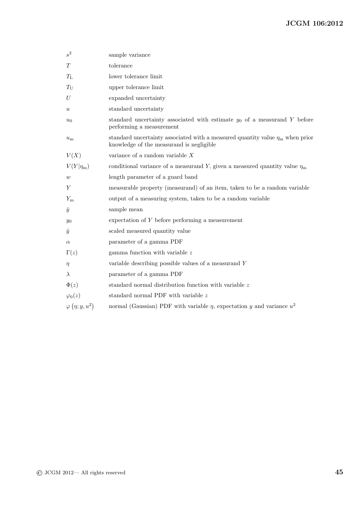| $s^2$                     | sample variance                                                                                                                |
|---------------------------|--------------------------------------------------------------------------------------------------------------------------------|
| T                         | tolerance                                                                                                                      |
| $T_{\rm L}$               | lower tolerance limit                                                                                                          |
| $T_{\rm U}$               | upper tolerance limit                                                                                                          |
| U                         | expanded uncertainty                                                                                                           |
| $\boldsymbol{\mathit{u}}$ | standard uncertainty                                                                                                           |
| $u_0$                     | standard uncertainty associated with estimate $y_0$ of a measurand Y before<br>performing a measurement                        |
| $u_{\rm m}$               | standard uncertainty associated with a measured quantity value $\eta_m$ when prior<br>knowledge of the measurand is negligible |
| V(X)                      | variance of a random variable $X$                                                                                              |
| $V(Y \eta_{\text{m}})$    | conditional variance of a measurand Y, given a measured quantity value $\eta_m$                                                |
| $\boldsymbol{w}$          | length parameter of a guard band                                                                                               |
| Υ                         | measurable property (measurand) of an item, taken to be a random variable                                                      |
| $Y_{\rm m}$               | output of a measuring system, taken to be a random variable                                                                    |
| $\bar{y}$                 | sample mean                                                                                                                    |
| $y_0$                     | expectation of $Y$ before performing a measurement                                                                             |
| $\tilde{y}$               | scaled measured quantity value                                                                                                 |
| $\alpha$                  | parameter of a gamma PDF                                                                                                       |
| $\Gamma(z)$               | gamma function with variable $z$                                                                                               |
| $\eta$                    | variable describing possible values of a measurand Y                                                                           |
| $\lambda$                 | parameter of a gamma PDF                                                                                                       |
| $\Phi(z)$                 | standard normal distribution function with variable z                                                                          |
| $\varphi_0(z)$            | standard normal PDF with variable $z$                                                                                          |
| $\varphi(\eta; y, u^2)$   | normal (Gaussian) PDF with variable $\eta$ , expectation y and variance $u^2$                                                  |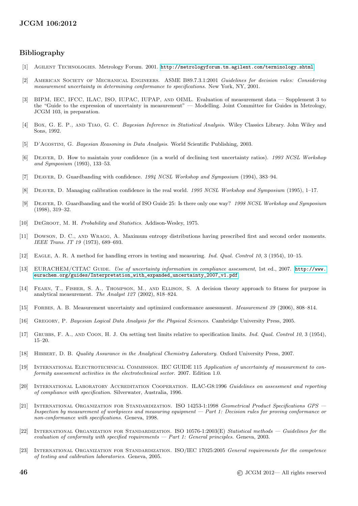### <span id="page-54-13"></span><span id="page-54-0"></span>Bibliography

- <span id="page-54-8"></span>[1] Agilent Technologies. Metrology Forum. 2001. <http://metrologyforum.tm.agilent.com/terminology.shtml>.
- [2] American Society of Mechanical Engineers. ASME B89.7.3.1:2001 Guidelines for decision rules: Considering measurement uncertainty in determining conformance to specifications. New York, NY, 2001.
- <span id="page-54-2"></span>[3] BIPM, IEC, IFCC, ILAC, ISO, IUPAC, IUPAP, and OIML. Evaluation of measurement data — Supplement 3 to the "Guide to the expression of uncertainty in measurement" — Modelling. Joint Committee for Guides in Metrology, JCGM 103, in preparation.
- <span id="page-54-10"></span>[4] Box, G. E. P., and Tiao, G. C. Bayesian Inference in Statistical Analysis. Wiley Classics Library. John Wiley and Sons, 1992.
- <span id="page-54-15"></span><span id="page-54-11"></span>[5] D'Agostini, G. Bayesian Reasoning in Data Analysis. World Scientific Publishing, 2003.
- [6] Deaver, D. How to maintain your confidence (in a world of declining test uncertainty ratios). 1993 NCSL Workshop and Symposium (1993), 133–53.
- <span id="page-54-17"></span><span id="page-54-16"></span>[7] DEAVER, D. Guardbanding with confidence. 1994 NCSL Workshop and Symposium (1994), 383–94.
- <span id="page-54-18"></span>[8] DEAVER, D. Managing calibration confidence in the real world. 1995 NCSL Workshop and Symposium (1995), 1–17.
- [9] DEAVER, D. Guardbanding and the world of ISO Guide 25: Is there only one way? 1998 NCSL Workshop and Symposium (1998), 319–32.
- <span id="page-54-23"></span><span id="page-54-22"></span>[10] DeGroot, M. H. Probability and Statistics. Addison-Wesley, 1975.
- [11] Dowson, D. C., and Wragg, A. Maximum entropy distributions having prescribed first and second order moments. IEEE Trans. IT 19 (1973), 689–693.
- <span id="page-54-19"></span><span id="page-54-7"></span>[12] EAGLE, A. R. A method for handling errors in testing and measuring. Ind. Qual. Control 10, 3 (1954), 10–15.
- [13] EURACHEM/CITAC GUIDE. Use of uncertainty information in compliance assessment, 1st ed., 2007. [http://www.](http://www.eurachem.org/guides/Interpretation_with_expanded_uncertainty_2007_v1.pdf) [eurachem.org/guides/Interpretation\\_with\\_expanded\\_uncertainty\\_2007\\_v1.pdf](http://www.eurachem.org/guides/Interpretation_with_expanded_uncertainty_2007_v1.pdf).
- <span id="page-54-4"></span>[14] Fearn, T., Fisher, S. A., Thompson, M., and Ellison, S. A decision theory approach to fitness for purpose in analytical measurement. The Analyst 127 (2002), 818–824.
- <span id="page-54-12"></span><span id="page-54-5"></span>[15] Forbes, A. B. Measurement uncertainty and optimized conformance assessment. Measurement 39 (2006), 808–814.
- <span id="page-54-20"></span>[16] Gregory, P. Bayesian Logical Data Analysis for the Physical Sciences. Cambridge University Press, 2005.
- [17] GRUBBS, F. A., AND COON, H. J. On setting test limits relative to specification limits. Ind. Qual. Control 10, 3 (1954), 15–20.
- <span id="page-54-21"></span><span id="page-54-6"></span>[18] Hibbert, D. B. Quality Assurance in the Analytical Chemistry Laboratory. Oxford University Press, 2007.
- [19] INTERNATIONAL ELECTROTECHNICAL COMMISSION. IEC GUIDE 115 Application of uncertainty of measurement to conformity assessment activities in the electrotechnical sector. 2007. Edition 1.0.
- <span id="page-54-14"></span>[20] International Laboratory Accreditation Cooperation. ILAC-G8:1996 Guidelines on assessment and reporting of compliance with specification. Silverwater, Australia, 1996.
- <span id="page-54-9"></span>[21] INTERNATIONAL ORGANIZATION FOR STANDARDIZATION. ISO 14253-1:1998 Geometrical Product Specifications GPS -Inspection by measurement of workpieces and measuring equipment — Part 1: Decision rules for proving conformance or non-conformance with specifications. Geneva, 1998.
- <span id="page-54-1"></span>[22] INTERNATIONAL ORGANIZATION FOR STANDARDIZATION. ISO 10576-1:2003(E) Statistical methods — Guidelines for the evaluation of conformity with specified requirements  $-$  Part 1: General principles. Geneva, 2003.
- <span id="page-54-3"></span>[23] INTERNATIONAL ORGANIZATION FOR STANDARDIZATION. ISO/IEC 17025:2005 General requirements for the competence of testing and calibration laboratories. Geneva, 2005.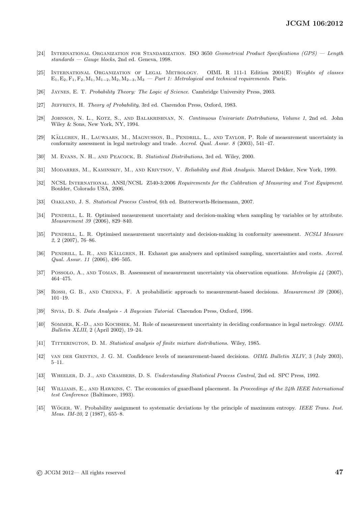- <span id="page-55-0"></span>[24] International Organization for Standarization. ISO 3650 Geometrical Product Specifications (GPS) — Length standards — Gauge blocks, 2nd ed. Geneva, 1998.
- <span id="page-55-8"></span>[25] International Organization of Legal Metrology. OIML R 111-1 Edition 2004(E) Weights of classes  $E_1, E_2, F_1, F_2, M_1, M_{1-2}, M_2, M_{2-3}, M_3$  — Part 1: Metrological and technical requirements. Paris.
- <span id="page-55-11"></span><span id="page-55-10"></span>[26] Jaynes, E. T. Probability Theory: The Logic of Science. Cambridge University Press, 2003.
- <span id="page-55-21"></span>[27] Jeffreys, H. Theory of Probability, 3rd ed. Clarendon Press, Oxford, 1983.
- [28] Johnson, N. L., Kotz, S., and Balakrishnan, N. Continuous Univariate Distributions, Volume 1, 2nd ed. John Wiley & Sons, New York, NY, 1994.
- <span id="page-55-6"></span>[29] KÄLLGREN, H., LAUWAARS, M., MAGNUSSON, B., PENDRILL, L., AND TAYLOR, P. Role of measurement uncertainty in conformity assessment in legal metrology and trade. Accred. Qual. Assur. 8 (2003), 541–47.
- <span id="page-55-20"></span><span id="page-55-7"></span>[30] M. Evans, N. H., and Peacock, B. Statistical Distributions, 3rd ed. Wiley, 2000.
- <span id="page-55-13"></span>[31] Modarres, M., Kaminskiy, M., and Krivtsov, V. Reliability and Risk Analysis. Marcel Dekker, New York, 1999.
- [32] NCSL INTERNATIONAL. ANSI/NCSL Z540-3:2006 Requirements for the Calibration of Measuring and Test Equipment. Boulder, Colorado USA, 2006.
- <span id="page-55-16"></span><span id="page-55-2"></span>[33] OAKLAND, J. S. Statistical Process Control, 6th ed. Butterworth-Heinemann, 2007.
- [34] PENDRILL, L. R. Optimised measurement uncertainty and decision-making when sampling by variables or by attribute. Measurement 39 (2006), 829–840.
- <span id="page-55-3"></span>[35] PENDRILL, L. R. Optimised measurement uncertainty and decision-making in conformity assessment. NCSLI Measure 2, 2 (2007), 76–86.
- <span id="page-55-4"></span>[36] PENDRILL, L. R., AND KÄLLGREN, H. Exhaust gas analysers and optimised sampling, uncertainties and costs. Accred. Qual. Assur. 11 (2006), 496–505.
- <span id="page-55-1"></span>[37] Possolo, A., and Toman, B. Assessment of measurement uncertainty via observation equations. Metrologia 44 (2007), 464–475.
- <span id="page-55-9"></span>[38] ROSSI, G. B., AND CRENNA, F. A probabilistic approach to measurement-based decisions. Measurement 39 (2006), 101–19.
- <span id="page-55-14"></span><span id="page-55-12"></span>[39] Sivia, D. S. Data Analysis - A Bayesian Tutorial. Clarendon Press, Oxford, 1996.
- [40] SOMMER, K.-D., AND KOCHSIEK, M. Role of measurement uncertainty in deciding conformance in legal metrology. *OIML* Bulletin XLIII, 2 (April 2002), 19–24.
- <span id="page-55-18"></span><span id="page-55-15"></span>[41] TITTERINGTON, D. M. Statistical analysis of finite mixture distributions. Wiley, 1985.
- [42] van der Grinten, J. G. M. Confidence levels of measurement-based decisions. OIML Bulletin XLIV, 3 (July 2003), 5–11.
- <span id="page-55-17"></span><span id="page-55-5"></span>[43] Wheeler, D. J., and Chambers, D. S. Understanding Statistical Process Control, 2nd ed. SPC Press, 1992.
- [44] WILLIAMS, E., AND HAWKINS, C. The economics of guardband placement. In Proceedings of the 24th IEEE International test Conference (Baltimore, 1993).
- <span id="page-55-19"></span>[45] WÖGER, W. Probability assignment to systematic deviations by the principle of maximum entropy. IEEE Trans. Inst. Meas. IM-20, 2 (1987), 655–8.